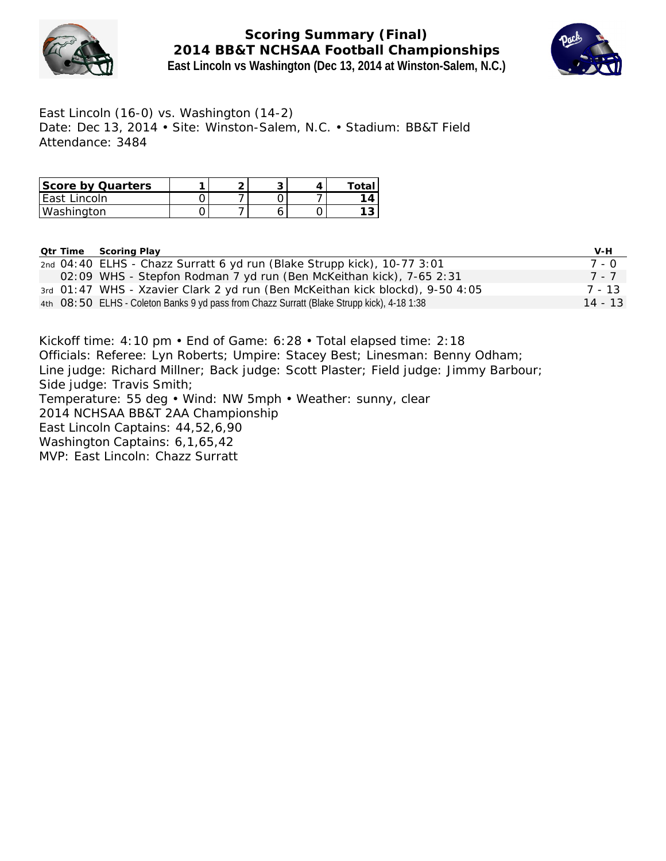

**Scoring Summary (Final) 2014 BB&T NCHSAA Football Championships East Lincoln vs Washington (Dec 13, 2014 at Winston-Salem, N.C.)**



East Lincoln (16-0) vs. Washington (14-2) Date: Dec 13, 2014 • Site: Winston-Salem, N.C. • Stadium: BB&T Field Attendance: 3484

| Score by Quarters    |  |  |  |
|----------------------|--|--|--|
| <b>LEast Lincoln</b> |  |  |  |
| <b>Washington</b>    |  |  |  |

**Qtr Time Scoring Play V-H** 2nd 04:40 ELHS - Chazz Surratt 6 yd run (Blake Strupp kick), 10-77 3:01 7 - 0 02:09 WHS - Stepfon Rodman 7 yd run (Ben McKeithan kick), 7-65 2:31 7 7 7 7 7 7 3rd 01:47 WHS - Xzavier Clark 2 yd run (Ben McKeithan kick blockd), 9-50 4:05 7 - 13 4th 08:50 ELHS - Coleton Banks 9 yd pass from Chazz Surratt (Blake Strupp kick), 4-18 1:38 14 - 13

Kickoff time: 4:10 pm • End of Game: 6:28 • Total elapsed time: 2:18 Officials: Referee: Lyn Roberts; Umpire: Stacey Best; Linesman: Benny Odham; Line judge: Richard Millner; Back judge: Scott Plaster; Field judge: Jimmy Barbour; Side judge: Travis Smith; Temperature: 55 deg • Wind: NW 5mph • Weather: sunny, clear 2014 NCHSAA BB&T 2AA Championship East Lincoln Captains: 44,52,6,90 Washington Captains: 6,1,65,42 MVP: East Lincoln: Chazz Surratt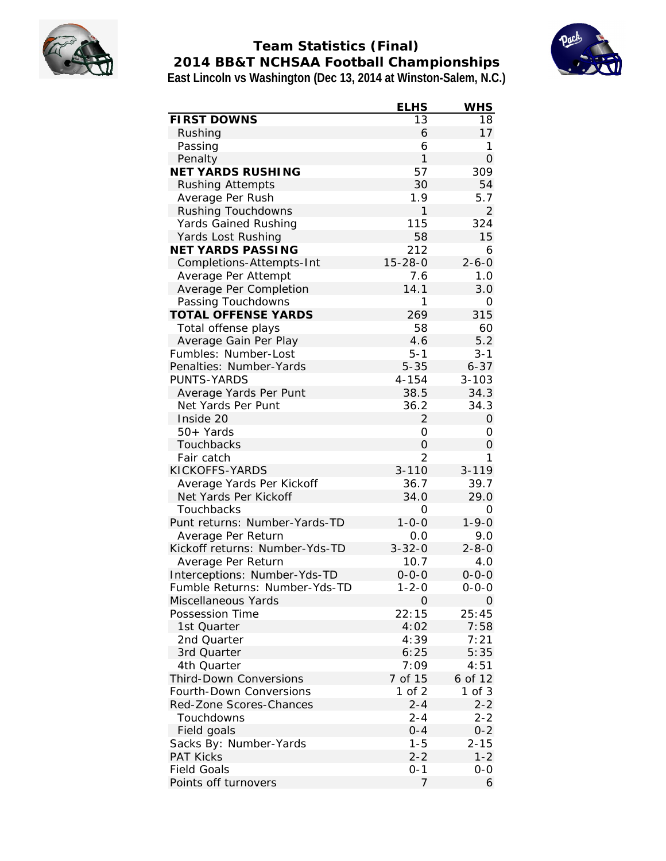

## **Team Statistics (Final) 2014 BB&T NCHSAA Football Championships East Lincoln vs Washington (Dec 13, 2014 at Winston-Salem, N.C.)**



|                                | <b>ELHS</b>    | <b>WHS</b>     |
|--------------------------------|----------------|----------------|
| FIRST DOWNS                    | 13             | 18             |
| Rushing                        | 6              | 17             |
| Passing                        | 6              | 1              |
| Penalty                        | $\mathbf{1}$   | $\overline{O}$ |
| NET YARDS RUSHING              | 57             | 309            |
| <b>Rushing Attempts</b>        | 30             | 54             |
| Average Per Rush               | 1.9            | 5.7            |
| Rushing Touchdowns             | 1              | $\overline{2}$ |
| Yards Gained Rushing           | 115            | 324            |
| Yards Lost Rushing             | 58             | 15             |
| NET YARDS PASSING              | 212            | 6              |
| Completions-Attempts-Int       | $15 - 28 - 0$  | $2 - 6 - 0$    |
| Average Per Attempt            | 7.6            | 1.0            |
| Average Per Completion         | 14.1           | 3.0            |
| Passing Touchdowns             | 1              | 0              |
| <b>TOTAL OFFENSE YARDS</b>     | 269            | 315            |
| Total offense plays            | 58             | 60             |
| Average Gain Per Play          | 4.6            | 5.2            |
| Fumbles: Number-Lost           | $5 - 1$        | $3 - 1$        |
| Penalties: Number-Yards        | $5 - 35$       | $6 - 37$       |
| PUNTS-YARDS                    | 4-154          | $3 - 103$      |
| Average Yards Per Punt         | 38.5           | 34.3           |
| Net Yards Per Punt             | 36.2           | 34.3           |
| Inside 20                      | 2              | 0              |
| 50+ Yards                      | 0              | 0              |
| Touchbacks                     | 0              | 0              |
| Fair catch                     | $\overline{2}$ | 1              |
| KICKOFFS-YARDS                 | $3 - 110$      | $3 - 119$      |
| Average Yards Per Kickoff      | 36.7           | 39.7           |
| Net Yards Per Kickoff          | 34.0           | 29.0           |
| Touchbacks                     | 0              | 0              |
| Punt returns: Number-Yards-TD  | $1 - 0 - 0$    | $1 - 9 - 0$    |
| Average Per Return             | 0.0            | 9.0            |
| Kickoff returns: Number-Yds-TD | $3 - 32 - 0$   | $2 - 8 - 0$    |
| Average Per Return             | 10.7           | 4.0            |
| Interceptions: Number-Yds-TD   | $0 - 0 - 0$    | $0 - 0 - 0$    |
| Fumble Returns: Number-Yds-TD  | $1 - 2 - 0$    | $0 - 0 - 0$    |
| Miscellaneous Yards            | 0              | 0              |
| Possession Time                | 22:15          | 25:45          |
| 1st Quarter                    | 4:02           | 7:58           |
| 2nd Quarter                    | 4:39           | 7:21           |
| 3rd Quarter                    | 6:25           | 5:35           |
| 4th Quarter                    | 7:09           | 4:51           |
| <b>Third-Down Conversions</b>  | 7 of 15        | 6 of 12        |
| Fourth-Down Conversions        | 1 of 2         | 1 of 3         |
| Red-Zone Scores-Chances        | $2 - 4$        | $2 - 2$        |
| Touchdowns                     | $2 - 4$        | $2 - 2$        |
| Field goals                    | $0 - 4$        | $0 - 2$        |
| Sacks By: Number-Yards         | $1 - 5$        | $2 - 15$       |
| <b>PAT Kicks</b>               | $2 - 2$        | $1 - 2$        |
| <b>Field Goals</b>             | 0-1            | $O-O$          |
| Points off turnovers           | 7              | 6              |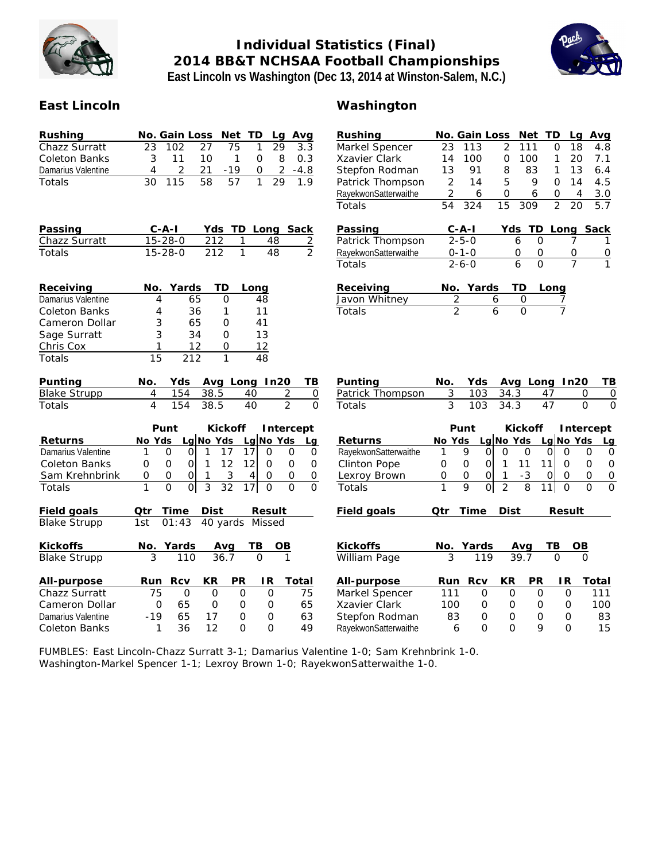

# **Individual Statistics (Final) 2014 BB&T NCHSAA Football Championships East Lincoln vs Washington (Dec 13, 2014 at Winston-Salem, N.C.)**



## **East Lincoln Washington**

| Rushing<br>Chazz Surratt<br><b>Coleton Banks</b><br>Damarius Valentine<br>Totals | No. Gain Loss<br>Net<br>ТD<br>Avg<br>Lq<br>23<br>102<br>27<br>75<br>29<br>1<br>3.3<br>3<br>11<br>10<br>$\mathbf{1}$<br>$\circ$<br>8<br>0.3<br>$\overline{2}$<br>2<br>21<br>$-19$<br>$-4.8$<br>4<br>0<br>$\overline{57}$<br>$\overline{30}$<br>115<br>58<br>$\mathbf{1}$<br>29<br>1.9 | Rushing<br>Markel Spencer<br>Xzavier Clark<br>Stepfon Rodman<br>Patrick Thompson<br>RayekwonSatterwaithe<br>Totals | No. Gain Loss<br>23<br>113<br>14<br>100<br>13<br>91<br>2<br>14<br>$\overline{c}$<br>6<br>54<br>324 | Net<br>2<br>111<br>$\mathbf 0$<br>100<br>8<br>83<br>5<br>0<br>15<br>309 | TD<br>La<br>18<br>0<br>20<br>1<br>13<br>1<br>14<br>9<br>$\Omega$<br>6<br>0<br>$\overline{2}$<br>20 | Avg<br>4.8<br>7.1<br>6.4<br>4.5<br>4<br>3.0<br>5.7 |
|----------------------------------------------------------------------------------|--------------------------------------------------------------------------------------------------------------------------------------------------------------------------------------------------------------------------------------------------------------------------------------|--------------------------------------------------------------------------------------------------------------------|----------------------------------------------------------------------------------------------------|-------------------------------------------------------------------------|----------------------------------------------------------------------------------------------------|----------------------------------------------------|
| Passing                                                                          | $C - A - I$<br>Yds TD<br>Long Sack                                                                                                                                                                                                                                                   | Passing                                                                                                            | $C - A - I$                                                                                        | Yds                                                                     | TD_Long_Sack                                                                                       |                                                    |
| Chazz Surratt                                                                    | $15 - 28 - 0$<br>212<br>1<br>48<br>$\overline{2}$                                                                                                                                                                                                                                    | Patrick Thompson                                                                                                   | $2 - 5 - 0$                                                                                        | 6                                                                       | $\Omega$<br>7                                                                                      | 1                                                  |
| <b>Totals</b>                                                                    | $\overline{2}$<br>$\overline{212}$<br>$\overline{1}$<br>$15 - 28 - 0$<br>48                                                                                                                                                                                                          | RayekwonSatterwaithe<br>Totals                                                                                     | $0 - 1 - 0$<br>$\overline{2} - 6 - 0$                                                              | 0<br>6                                                                  | O<br>0<br>$\overline{0}$<br>$\overline{7}$                                                         | 0<br>$\mathbf{1}$                                  |
| Receiving                                                                        | Yards<br>TD<br>No.<br>Long                                                                                                                                                                                                                                                           | Receiving                                                                                                          | No. Yards                                                                                          | TD                                                                      | Long                                                                                               |                                                    |
| Damarius Valentine                                                               | 65<br>4<br>$\Omega$<br>48                                                                                                                                                                                                                                                            | Javon Whitney                                                                                                      | 2                                                                                                  | $\mathbf 0$<br>6                                                        | 7                                                                                                  |                                                    |
| Coleton Banks                                                                    | 4<br>36<br>11<br>1                                                                                                                                                                                                                                                                   | Totals                                                                                                             | $\overline{2}$                                                                                     | 6<br>$\Omega$                                                           | $\overline{7}$                                                                                     |                                                    |
| Cameron Dollar                                                                   | 3<br>65<br>$\Omega$<br>41                                                                                                                                                                                                                                                            |                                                                                                                    |                                                                                                    |                                                                         |                                                                                                    |                                                    |
| Sage Surratt                                                                     | 3<br>34<br>$\Omega$<br>13                                                                                                                                                                                                                                                            |                                                                                                                    |                                                                                                    |                                                                         |                                                                                                    |                                                    |
| Chris Cox                                                                        | 1<br>12<br>$\mathsf{O}\xspace$<br>12                                                                                                                                                                                                                                                 |                                                                                                                    |                                                                                                    |                                                                         |                                                                                                    |                                                    |
| Totals                                                                           | $\overline{15}$<br>$\overline{48}$<br>212<br>1                                                                                                                                                                                                                                       |                                                                                                                    |                                                                                                    |                                                                         |                                                                                                    |                                                    |
| Punting                                                                          | Avg Long In20                                                                                                                                                                                                                                                                        |                                                                                                                    |                                                                                                    |                                                                         | Avg Long In20                                                                                      |                                                    |
| <b>Blake Strupp</b>                                                              | No.<br>Yds<br><u>TB</u><br>154<br>$\overline{2}$<br>4<br>38.5<br>40<br>$\overline{0}$                                                                                                                                                                                                | Punting<br>Patrick Thompson                                                                                        | No.<br>Yds<br>3<br>103                                                                             | 34.3                                                                    | 47                                                                                                 | TВ<br>0<br>0                                       |
| Totals                                                                           | $\overline{2}$<br>$\overline{4}$<br>$\Omega$<br>154<br>38.5<br>40                                                                                                                                                                                                                    | Totals                                                                                                             | $\overline{3}$<br>103                                                                              | 34.3                                                                    | $\overline{47}$                                                                                    | $\overline{O}$<br>$\Omega$                         |
|                                                                                  | Punt<br>Kickoff<br>Intercept                                                                                                                                                                                                                                                         |                                                                                                                    | Punt                                                                                               | Kickoff                                                                 |                                                                                                    | Intercept                                          |
| Returns                                                                          | Lg No Yds<br>Lg No Yds<br>No Yds<br>Lq                                                                                                                                                                                                                                               | Returns                                                                                                            | No Yds                                                                                             | $Lg$ No Yds                                                             | $Lg$ No Yds                                                                                        | Lg                                                 |
| Damarius Valentine                                                               | $\overline{17}$<br>$\overline{O}$<br>$\overline{O}$<br>$\mathbf{1}$<br>17<br>$\overline{O}$<br>1<br>$\Omega$<br>$\mathsf O$                                                                                                                                                          | RayekwonSatterwaithe                                                                                               | $\overline{O}$<br>9<br>1                                                                           | $\Omega$<br>$\Omega$                                                    | $\overline{O}$<br>$\Omega$                                                                         | $\Omega$<br>$\overline{O}$                         |
| <b>Coleton Banks</b>                                                             | 12<br>12<br>0<br>$\mathbf 0$<br>$\overline{O}$<br>$\mathbf 0$<br>$\circ$<br>$\mathbf 0$<br>1                                                                                                                                                                                         | <b>Clinton Pope</b>                                                                                                | $\mathsf O$<br>$\mathbf 0$<br>$\circ$                                                              | 11<br>$\mathbf{1}$                                                      | 11<br>$\mathbf 0$                                                                                  | $\mathbf 0$<br>0                                   |
| Sam Krehnbrink                                                                   | 3<br>0<br>$\mathsf O$<br>4<br>$\circ$<br>$\mathsf O$<br>0<br>0                                                                                                                                                                                                                       | Lexroy Brown                                                                                                       | 0<br>0<br>0                                                                                        | $-3$<br>1                                                               | $\circ$<br>0                                                                                       | $\mathbf 0$<br>0                                   |
| Totals                                                                           | $\mathbf{1}$<br>3<br>32<br>$\overline{O}$<br>$\Omega$<br>$\overline{O}$<br>17<br>$\overline{O}$<br>$\Omega$                                                                                                                                                                          | Totals                                                                                                             | $\mathbf{1}$<br>9<br>$\overline{0}$                                                                | $\overline{2}$<br>$\overline{8}$                                        | $\overline{11}$<br>$\overline{O}$                                                                  | $\overline{0}$<br>$\Omega$                         |
| Field goals<br><b>Blake Strupp</b>                                               | Time<br>Dist<br>Result<br>Qtr<br>40 yards<br>01:43<br>Missed<br>1st                                                                                                                                                                                                                  | Field goals                                                                                                        | Time<br>Qtr                                                                                        | Dist                                                                    | Result                                                                                             |                                                    |
|                                                                                  |                                                                                                                                                                                                                                                                                      |                                                                                                                    |                                                                                                    |                                                                         |                                                                                                    |                                                    |
| Kickoffs                                                                         | No. Yards<br>TВ<br>OВ<br>Avg<br>36.7<br>$\Omega$<br>3<br>110<br>1                                                                                                                                                                                                                    | Kickoffs                                                                                                           | No.<br>Yards<br>3<br>119                                                                           | Avg<br>39.7                                                             | TВ<br>$\Omega$                                                                                     | $\overline{OB}$<br>$\Omega$                        |
| <b>Blake Strupp</b>                                                              |                                                                                                                                                                                                                                                                                      | William Page                                                                                                       |                                                                                                    |                                                                         |                                                                                                    |                                                    |
| All-purpose                                                                      | PR<br><b>Rcv</b><br>KR<br>IR<br>Run<br>Total                                                                                                                                                                                                                                         | All-purpose                                                                                                        | <b>Rcv</b><br>Run                                                                                  | KR                                                                      | PR<br>IR                                                                                           | Total                                              |
| Chazz Surratt                                                                    | 75<br>$\mathbf 0$<br>0<br>$\mathbf{O}$<br>$\mathbf 0$<br>75                                                                                                                                                                                                                          | Markel Spencer                                                                                                     | 111<br>$\mathbf 0$                                                                                 | 0                                                                       | $\mathbf 0$<br>$\mathbf 0$                                                                         | 111                                                |
| Cameron Dollar                                                                   | 65<br>$\mathbf 0$<br>65<br>0<br>$\mathbf 0$<br>0                                                                                                                                                                                                                                     | Xzavier Clark                                                                                                      | 100<br>0                                                                                           | 0                                                                       | $\circ$<br>$\mathbf 0$                                                                             | 100                                                |
| Damarius Valentine                                                               | $-19$<br>17<br>0<br>63<br>65<br>$\circ$                                                                                                                                                                                                                                              | Stepfon Rodman                                                                                                     | 83<br>$\mathbf 0$                                                                                  | O                                                                       | 0<br>0                                                                                             | 83                                                 |
| <b>Coleton Banks</b>                                                             | 12<br>1<br>36<br>$\Omega$<br>$\Omega$<br>49                                                                                                                                                                                                                                          | RayekwonSatterwaithe                                                                                               | $\Omega$<br>6                                                                                      | $\Omega$                                                                | 9<br>$\Omega$                                                                                      | 15                                                 |

FUMBLES: East Lincoln-Chazz Surratt 3-1; Damarius Valentine 1-0; Sam Krehnbrink 1-0. Washington-Markel Spencer 1-1; Lexroy Brown 1-0; RayekwonSatterwaithe 1-0.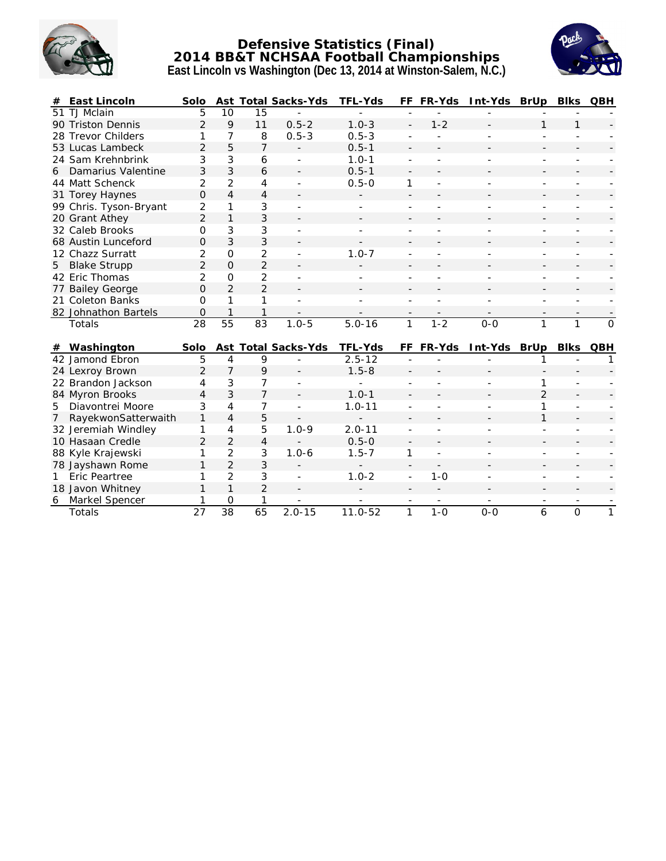

#### **Defensive Statistics (Final) 2014 BB&T NCHSAA Football Championships East Lincoln vs Washington (Dec 13, 2014 at Winston-Salem, N.C.)**



| # | East Lincoln           | Solo            |                 |                | Ast Total Sacks-Yds | TFL-Yds     |                          | FF FR-Yds      | Int-Yds BrUp Blks |                          |              | QBH            |
|---|------------------------|-----------------|-----------------|----------------|---------------------|-------------|--------------------------|----------------|-------------------|--------------------------|--------------|----------------|
|   | 51 TJ Mclain           | 5               | 10              | 15             |                     |             |                          |                |                   |                          |              |                |
|   | 90 Triston Dennis      | $\overline{2}$  | $\mathsf{Q}$    | 11             | $0.5 - 2$           | $1.0 - 3$   | $\overline{\phantom{a}}$ | $1 - 2$        |                   | 1                        | 1            |                |
|   | 28 Trevor Childers     | 1               | 7               | 8              | $0.5 - 3$           | $0.5 - 3$   | ÷,                       |                |                   | ÷,                       |              |                |
|   | 53 Lucas Lambeck       | $\overline{2}$  | 5               | $\overline{7}$ |                     | $0.5 - 1$   |                          |                |                   |                          |              |                |
|   | 24 Sam Krehnbrink      | 3               | 3               | 6              |                     | $1.0 - 1$   |                          |                |                   |                          |              |                |
| 6 | Damarius Valentine     | 3               | 3               | 6              |                     | $0.5 - 1$   |                          |                |                   |                          |              |                |
|   | 44 Matt Schenck        | 2               | $\overline{2}$  | 4              |                     | $0.5 - 0$   | 1                        |                |                   |                          |              |                |
|   | 31 Torey Haynes        | 0               | $\overline{4}$  | $\overline{4}$ |                     |             | $\overline{a}$           |                |                   |                          |              |                |
|   | 99 Chris. Tyson-Bryant | $\overline{2}$  | $\mathbf{1}$    | 3              |                     |             |                          |                |                   |                          |              |                |
|   | 20 Grant Athey         | $\overline{2}$  | $\mathbf{1}$    | 3              |                     |             |                          |                |                   |                          |              |                |
|   | 32 Caleb Brooks        | 0               | 3               | 3              |                     |             |                          |                |                   |                          |              |                |
|   | 68 Austin Lunceford    | 0               | 3               | 3              |                     |             |                          |                |                   |                          |              |                |
|   | 12 Chazz Surratt       | $\overline{2}$  | $\mathbf{O}$    | $\overline{2}$ |                     | $1.0 - 7$   |                          |                |                   |                          |              |                |
| 5 | <b>Blake Strupp</b>    | $\overline{2}$  | $\overline{O}$  | $\overline{2}$ |                     |             |                          |                |                   |                          |              |                |
|   | 42 Eric Thomas         | $\overline{2}$  | $\mathbf{O}$    | $\overline{2}$ |                     |             |                          |                |                   |                          |              |                |
|   | 77 Bailey George       | 0               | $\overline{2}$  | $\overline{2}$ |                     |             |                          |                |                   |                          |              |                |
|   | 21 Coleton Banks       | $\Omega$        | 1               | $\mathbf{1}$   |                     |             |                          |                |                   |                          |              |                |
|   | 82 Johnathon Bartels   | 0               |                 |                |                     |             |                          |                |                   | $\overline{\phantom{a}}$ |              |                |
|   | Totals                 | 28              | $\overline{55}$ | 83             | $1.0 - 5$           | $5.0 - 16$  | $\mathbf{1}$             | $1 - 2$        | $O-O$             | $\mathbf{1}$             | $\mathbf{1}$ | $\overline{O}$ |
|   |                        |                 |                 |                |                     |             |                          |                |                   |                          |              |                |
| # | Washington             | Solo            |                 |                | Ast Total Sacks-Yds | TFL-Yds     | FF.                      | FR-Yds         | Int-Yds BrUp      |                          | <b>Blks</b>  | QBH            |
|   | 42 Jamond Ebron        | $\overline{5}$  | 4               | 9              |                     | $2.5 - 12$  |                          |                |                   |                          |              |                |
|   | 24 Lexroy Brown        | $\overline{2}$  | $\overline{7}$  | 9              |                     | $1.5 - 8$   |                          |                |                   |                          |              |                |
|   | 22 Brandon Jackson     | 4               | 3               | 7              |                     |             |                          |                |                   | 1                        |              |                |
|   | 84 Myron Brooks        | $\overline{4}$  | 3               | $\overline{7}$ |                     | $1.0 - 1$   |                          |                |                   | $\overline{2}$           |              |                |
| 5 | Diavontrei Moore       | 3               | 4               | 7              |                     | $1.0 - 11$  |                          |                |                   | 1                        |              |                |
| 7 | RayekwonSatterwaith    | $\mathbf{1}$    | $\overline{4}$  | 5              |                     |             |                          |                |                   | 1                        |              |                |
|   | 32 Jeremiah Windley    | 1               | $\overline{4}$  | 5              | $1.0 - 9$           | $2.0 - 11$  |                          |                |                   |                          |              |                |
|   | 10 Hasaan Credle       | $\overline{2}$  | $\overline{2}$  | $\overline{4}$ |                     | $0.5 - 0$   | $\overline{\phantom{a}}$ |                |                   |                          |              |                |
|   | 88 Kyle Krajewski      | 1               | $\overline{2}$  | $\mathfrak{Z}$ | $1.0 - 6$           | $1.5 - 7$   | 1                        | $\overline{a}$ |                   |                          |              |                |
|   | 78 Jayshawn Rome       | $\mathbf{1}$    | $\overline{2}$  | $\mathfrak{Z}$ |                     |             |                          |                |                   |                          |              |                |
|   | Eric Peartree          | 1               | $\overline{2}$  | 3              |                     | $1.0 - 2$   | $\overline{a}$           | $1 - 0$        |                   |                          |              |                |
|   | 18 Javon Whitney       | 1               | $\mathbf{1}$    | $\overline{2}$ |                     |             |                          |                |                   |                          |              |                |
| 6 | Markel Spencer         | 1               | O               | $\mathbf{1}$   |                     |             |                          |                |                   | $\overline{\phantom{a}}$ |              |                |
|   | Totals                 | $\overline{27}$ | $\overline{38}$ | 65             | $2.0 - 15$          | $11.0 - 52$ | $\mathbf{1}$             | $1 - 0$        | $O-O$             | 6                        | 0            | $\mathbf{1}$   |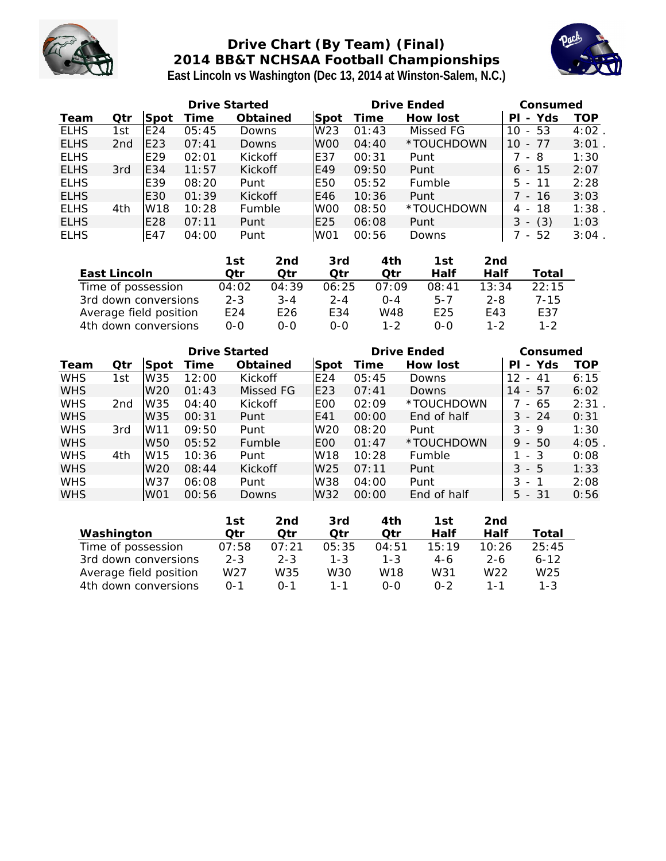

## **Drive Chart (By Team) (Final) 2014 BB&T NCHSAA Football Championships East Lincoln vs Washington (Dec 13, 2014 at Winston-Salem, N.C.)**



| Drive Started |                 |                 |       |               |                 | Drive Ended | Consumed      |                                       |      |
|---------------|-----------------|-----------------|-------|---------------|-----------------|-------------|---------------|---------------------------------------|------|
| Team          | Qtr             | Spot            | Time  | Obtained      | Spot            | Time        | How lost      | Yds<br>PI<br>$\overline{\phantom{a}}$ | TOP  |
| <b>ELHS</b>   | 1st             | E24             | 05:45 | Downs         | W23             | 01:43       | Missed FG     | - 53<br>10                            | 4:02 |
| <b>ELHS</b>   | 2 <sub>nd</sub> | E23             | 07:41 | <b>Downs</b>  | W <sub>00</sub> | 04:40       | *TOUCHDOWN    | 10<br>77<br>$\qquad \qquad -$         | 3:01 |
| <b>ELHS</b>   |                 | E <sub>29</sub> | 02:01 | Kickoff       | E37             | 00:31       | Punt          | - 8                                   | 1:30 |
| <b>ELHS</b>   | 3rd             | E34             | 11:57 | Kickoff       | E49             | 09:50       | Punt          | -15<br>6<br>$\overline{\phantom{a}}$  | 2:07 |
| <b>ELHS</b>   |                 | E39             | 08:20 | Punt          | E <sub>50</sub> | 05:52       | <b>Fumble</b> | 5<br>-11<br>$\overline{\phantom{a}}$  | 2:28 |
| <b>ELHS</b>   |                 | E30             | 01:39 | Kickoff       | E46             | 10:36       | Punt          | 7 - 16                                | 3:03 |
| <b>ELHS</b>   | 4th             | W18             | 10:28 | <b>Fumble</b> | W <sub>00</sub> | 08:50       | *TOUCHDOWN    | -18<br>4<br>$\overline{\phantom{0}}$  | 1:38 |
| <b>ELHS</b>   |                 | E28             | 07:11 | Punt          | E25             | 06:08       | Punt          | (3)<br>3<br>$\overline{\phantom{a}}$  | 1:03 |
| <b>ELHS</b>   |                 | E47             | 04:00 | Punt          | W <sub>01</sub> | 00:56       | Downs         | 52<br>$\sim$                          | 3:04 |

|                        | 1st     | 2nd     | 3rd     | 4th     | 1st.            | 2nd     |          |
|------------------------|---------|---------|---------|---------|-----------------|---------|----------|
| East Lincoln           | ∩tr     | ∩tr     | ∩tr     | ∩tr     | Half            | Half    | Total    |
| Time of possession     | 04:02   | 04:39   | 06:25   | 07:09   | 08:41           | 13:34   | 22:15    |
| 3rd down conversions   | $2 - 3$ | $3 - 4$ | $2 - 4$ | $O - 4$ | $5 - 7$         | $2 - 8$ | $7 - 15$ |
| Average field position | E24     | E26     | E34     | W48     | F <sub>25</sub> | F43     | F37      |
| 4th down conversions   | 0-0     | ი-ი     | റ-റ     | 1-2     | $0 - 0$         | $1 - 2$ | $1 - 2$  |

| Drive Started |     |                 |       |               |                 | Drive Ended | Consumed    |                                      |      |
|---------------|-----|-----------------|-------|---------------|-----------------|-------------|-------------|--------------------------------------|------|
| Team          | Qtr | Spot            | Time  | Obtained      | <b>Spot</b>     | Time        | How lost    | Yds<br>PI<br>$\overline{a}$          | TOP  |
| <b>WHS</b>    | 1st | W35             | 12:00 | Kickoff       | E24             | 05:45       | Downs       | 12<br>41<br>$\overline{\phantom{a}}$ | 6:15 |
| <b>WHS</b>    |     | W <sub>20</sub> | 01:43 | Missed FG     | E23             | 07:41       | Downs       | 57<br>14<br>$\sim$                   | 6:02 |
| <b>WHS</b>    | 2nd | W35             | 04:40 | Kickoff       | <b>EOO</b>      | 02:09       | *TOUCHDOWN  | - 65                                 | 2:31 |
| <b>WHS</b>    |     | W35             | 00:31 | Punt          | E41             | 00:00       | End of half | $3 - 24$                             | 0:31 |
| <b>WHS</b>    | 3rd | W11             | 09:50 | Punt          | W <sub>20</sub> | 08:20       | Punt        | 3<br>- 9                             | 1:30 |
| <b>WHS</b>    |     | W50             | 05:52 | <b>Fumble</b> | IEOO            | 01:47       | *TOUCHDOWN  | 9<br>50<br>$ \,$                     | 4:05 |
| <b>WHS</b>    | 4th | W15             | 10:36 | Punt          | W18             | 10:28       | Fumble      | $-3$                                 | 0:08 |
| <b>WHS</b>    |     | W <sub>20</sub> | 08:44 | Kickoff       | W <sub>25</sub> | 07:11       | Punt        | $3 - 5$                              | 1:33 |
| <b>WHS</b>    |     | W37             | 06:08 | Punt          | W38             | 04:00       | Punt        | 3<br>- 1                             | 2:08 |
| <b>WHS</b>    |     | W <sub>01</sub> | 00:56 | Downs         | W32             | 00:00       | End of half | $5 - 31$                             | 0:56 |

|                        | 1st     | 2nd     | 3rd     | 4th     | 1st     | 2nd             |                 |
|------------------------|---------|---------|---------|---------|---------|-----------------|-----------------|
| Washington             | ∩tr     | Otr     | Otr     | ∩tr     | Half    | Half            | Total           |
| Time of possession     | 07:58   | 07:21   | 05:35   | 04:51   | 15:19   | 10:26           | 25:45           |
| 3rd down conversions   | $2 - 3$ | $2 - 3$ | $1 - 3$ | $1 - 3$ | $4-6$   | $2 - 6$         | $6 - 12$        |
| Average field position | W27     | W35     | W30     | W18     | W31     | W <sub>22</sub> | W <sub>25</sub> |
| 4th down conversions   | በ-1     | ∩−1     | 1 - 1   | ೧-೧     | $0 - 2$ | 1 - 1           | $1 - 3$         |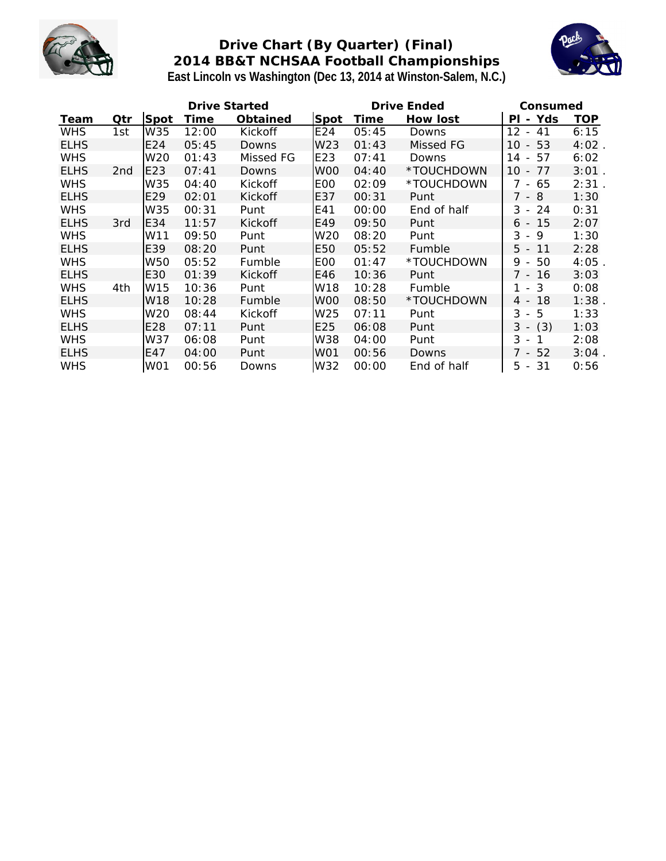

# **Drive Chart (By Quarter) (Final) 2014 BB&T NCHSAA Football Championships East Lincoln vs Washington (Dec 13, 2014 at Winston-Salem, N.C.)**



|             |     |                 | Drive Started |           |                 | Drive Ended | Consumed    |                                      |            |
|-------------|-----|-----------------|---------------|-----------|-----------------|-------------|-------------|--------------------------------------|------------|
| Team        | Otr | Spot            | Time          | Obtained  | Spot            | Time        | How lost    | Yds<br>ΡI<br>$\sim$                  | <b>TOP</b> |
| <b>WHS</b>  | 1st | W35             | 12:00         | Kickoff   | E24             | 05:45       | Downs       | $12 \overline{ }$<br>- 41            | 6:15       |
| <b>ELHS</b> |     | E24             | 05:45         | Downs     | W23             | 01:43       | Missed FG   | 53<br>10<br>$\sim$                   | 4:02       |
| <b>WHS</b>  |     | W20             | 01:43         | Missed FG | E23             | 07:41       | Downs       | 57<br>14 -                           | 6:02       |
| <b>ELHS</b> | 2nd | E23             | 07:41         | Downs     | W <sub>00</sub> | 04:40       | *TOUCHDOWN  | 10<br>77<br>$\overline{\phantom{a}}$ | 3:01       |
| <b>WHS</b>  |     | W35             | 04:40         | Kickoff   | E <sub>0</sub>  | 02:09       | *TOUCHDOWN  | $7 -$<br>65                          | 2:31       |
| <b>ELHS</b> |     | E29             | 02:01         | Kickoff   | E37             | 00:31       | Punt        | 7 - 8                                | 1:30       |
| <b>WHS</b>  |     | W35             | 00:31         | Punt      | E41             | 00:00       | End of half | 24<br>3<br>$\overline{\phantom{a}}$  | 0:31       |
| <b>ELHS</b> | 3rd | E34             | 11:57         | Kickoff   | E49             | 09:50       | Punt        | -15<br>6<br>$\overline{a}$           | 2:07       |
| <b>WHS</b>  |     | W11             | 09:50         | Punt      | W20             | 08:20       | Punt        | 3<br>9<br>$\sim$                     | 1:30       |
| <b>ELHS</b> |     | E39             | 08:20         | Punt      | E50             | 05:52       | Fumble      | 5<br>11<br>$\overline{\phantom{a}}$  | 2:28       |
| <b>WHS</b>  |     | W50             | 05:52         | Fumble    | E <sub>0</sub>  | 01:47       | *TOUCHDOWN  | 9<br>50<br>$\overline{\phantom{a}}$  | 4:05       |
| <b>ELHS</b> |     | E30             | 01:39         | Kickoff   | E46             | 10:36       | Punt        | $7 -$<br>16                          | 3:03       |
| <b>WHS</b>  | 4th | W15             | 10:36         | Punt      | W18             | 10:28       | Fumble      | 3<br>1<br>$\sim$                     | 0:08       |
| <b>ELHS</b> |     | W18             | 10:28         | Fumble    | W <sub>00</sub> | 08:50       | *TOUCHDOWN  | 18<br>4 -                            | 1:38       |
| <b>WHS</b>  |     | W20             | 08:44         | Kickoff   | W25             | 07:11       | Punt        | 5<br>3<br>$\overline{\phantom{a}}$   | 1:33       |
| <b>ELHS</b> |     | E28             | 07:11         | Punt      | E <sub>25</sub> | 06:08       | Punt        | $3 -$<br>(3)                         | 1:03       |
| <b>WHS</b>  |     | W37             | 06:08         | Punt      | W38             | 04:00       | Punt        | 3<br>$\overline{\phantom{a}}$        | 2:08       |
| <b>ELHS</b> |     | E47             | 04:00         | Punt      | WO1             | 00:56       | Downs       | 52<br>$7 -$                          | $3:04$ .   |
| <b>WHS</b>  |     | W <sub>01</sub> | 00:56         | Downs     | W32             | 00:00       | End of half | 5<br>- 31                            | 0:56       |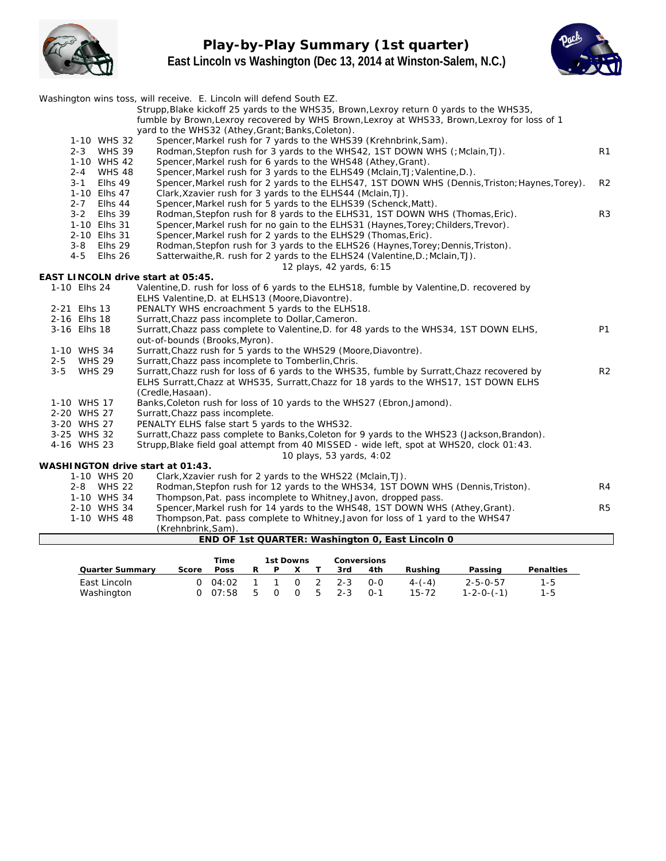

## **Play-by-Play Summary (1st quarter) East Lincoln vs Washington (Dec 13, 2014 at Winston-Salem, N.C.)**



|                                    | Washington wins toss, will receive. E. Lincoln will defend South EZ.                           |                |
|------------------------------------|------------------------------------------------------------------------------------------------|----------------|
|                                    | Strupp, Blake kickoff 25 yards to the WHS35, Brown, Lexroy return 0 yards to the WHS35,        |                |
|                                    | fumble by Brown, Lexroy recovered by WHS Brown, Lexroy at WHS33, Brown, Lexroy for loss of 1   |                |
|                                    | yard to the WHS32 (Athey, Grant; Banks, Coleton).                                              |                |
| 1-10 WHS 32                        | Spencer, Markel rush for 7 yards to the WHS39 (Krehnbrink, Sam).                               |                |
| 2-3 WHS 39                         | Rodman, Stepfon rush for 3 yards to the WHS42, 1ST DOWN WHS (; Mclain, TJ).                    | R1             |
| 1-10 WHS 42                        | Spencer, Markel rush for 6 yards to the WHS48 (Athey, Grant).                                  |                |
| 2-4 WHS 48                         | Spencer, Markel rush for 3 yards to the ELHS49 (Mclain, TJ; Valentine, D.).                    |                |
| Elhs 49<br>$3 - 1$                 | Spencer, Markel rush for 2 yards to the ELHS47, 1ST DOWN WHS (Dennis, Triston; Haynes, Torey). | R <sub>2</sub> |
| 1-10 Elhs 47                       | Clark, Xzavier rush for 3 yards to the ELHS44 (Mclain, TJ).                                    |                |
| Elhs 44<br>$2 - 7$                 | Spencer, Markel rush for 5 yards to the ELHS39 (Schenck, Matt).                                |                |
| $3 - 2$<br>Elhs 39                 | Rodman, Stepfon rush for 8 yards to the ELHS31, 1ST DOWN WHS (Thomas, Eric).                   | R <sub>3</sub> |
| 1-10 Elhs 31                       | Spencer, Markel rush for no gain to the ELHS31 (Haynes, Torey; Childers, Trevor).              |                |
| 2-10 Elhs 31                       | Spencer, Markel rush for 2 yards to the ELHS29 (Thomas, Eric).                                 |                |
| $3 - 8$<br>Elhs 29                 | Rodman, Stepfon rush for 3 yards to the ELHS26 (Haynes, Torey; Dennis, Triston).               |                |
| 4-5<br>Elhs 26                     | Satterwaithe, R. rush for 2 yards to the ELHS24 (Valentine, D.; Mclain, TJ).                   |                |
| EAST LINCOLN drive start at 05:45. | 12 plays, 42 yards, 6:15                                                                       |                |
| 1-10 Elhs 24                       | Valentine, D. rush for loss of 6 yards to the ELHS18, fumble by Valentine, D. recovered by     |                |
|                                    | ELHS Valentine, D. at ELHS13 (Moore, Diavontre).                                               |                |
| 2-21 Elhs 13                       | PENALTY WHS encroachment 5 yards to the ELHS18.                                                |                |
| 2-16 Elhs 18                       | Surratt, Chazz pass incomplete to Dollar, Cameron.                                             |                |
| 3-16 Elhs 18                       | Surratt, Chazz pass complete to Valentine, D. for 48 yards to the WHS34, 1ST DOWN ELHS,        | <b>P1</b>      |
|                                    | out-of-bounds (Brooks, Myron).                                                                 |                |
| 1-10 WHS 34                        | Surratt, Chazz rush for 5 yards to the WHS29 (Moore, Diavontre).                               |                |
| 2-5 WHS 29                         | Surratt, Chazz pass incomplete to Tomberlin, Chris.                                            |                |
| 3-5 WHS 29                         | Surratt, Chazz rush for loss of 6 yards to the WHS35, fumble by Surratt, Chazz recovered by    | R <sub>2</sub> |
|                                    | ELHS Surratt, Chazz at WHS35, Surratt, Chazz for 18 yards to the WHS17, 1ST DOWN ELHS          |                |
|                                    | (Credle, Hasaan).                                                                              |                |
| 1-10 WHS 17                        | Banks, Coleton rush for loss of 10 yards to the WHS27 (Ebron, Jamond).                         |                |
| 2-20 WHS 27                        | Surratt, Chazz pass incomplete.                                                                |                |
| 3-20 WHS 27                        | PENALTY ELHS false start 5 yards to the WHS32.                                                 |                |
| 3-25 WHS 32                        | Surratt, Chazz pass complete to Banks, Coleton for 9 yards to the WHS23 (Jackson, Brandon).    |                |
| 4-16 WHS 23                        | Strupp, Blake field goal attempt from 40 MISSED - wide left, spot at WHS20, clock 01:43.       |                |
|                                    | 10 plays, 53 yards, 4:02                                                                       |                |
| WASHINGTON drive start at 01:43.   |                                                                                                |                |
| 1-10 WHS 20                        | Clark, Xzavier rush for 2 yards to the WHS22 (Mclain, TJ).                                     |                |
| 2-8 WHS 22                         | Rodman, Stepfon rush for 12 yards to the WHS34, 1ST DOWN WHS (Dennis, Triston).                | R4             |
| 1-10 WHS 34                        | Thompson, Pat. pass incomplete to Whitney, Javon, dropped pass.                                |                |
| 2-10 WHS 34                        | Spencer, Markel rush for 14 yards to the WHS48, 1ST DOWN WHS (Athey, Grant).                   | R <sub>5</sub> |
| 1-10 WHS 48                        | Thompson, Pat. pass complete to Whitney, Javon for loss of 1 yard to the WHS47                 |                |
|                                    | (Krehnbrink, Sam).                                                                             |                |
|                                    | END OF 1st QUARTER: Washington 0, East Lincoln 0                                               |                |
|                                    |                                                                                                |                |

|                 |       | Time                    |   |   | 1st Downs |     |               | Conversions |            |                    |           |
|-----------------|-------|-------------------------|---|---|-----------|-----|---------------|-------------|------------|--------------------|-----------|
| Quarter Summarv | Score | Poss                    | R | D |           |     | 3rd           | 4th         | Rushina    | Passing            | Penalties |
| East Lincoln    |       | $0 \quad 04:02 \quad 1$ |   |   |           |     | 1 0 2 2-3 0-0 |             | $4 - (-4)$ | $2 - 5 - 0 - 57$   | 1-5       |
| Washington      |       | 0.07:58                 | 5 |   | - 0       | - 5 | $2 - 3$       | $O - 1$     | $15 - 72$  | $1 - 2 - 0 - (-1)$ | 1-5       |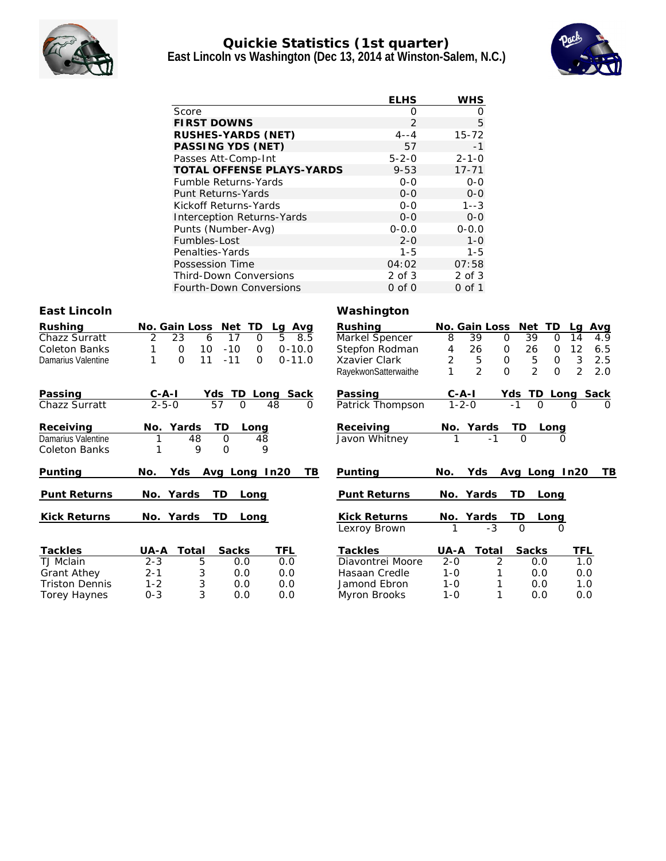

#### **Quickie Statistics (1st quarter) East Lincoln vs Washington (Dec 13, 2014 at Winston-Salem, N.C.)**



|                       |                                                                         | <b>ELHS</b>          | <b>WHS</b>            |                                                                      |
|-----------------------|-------------------------------------------------------------------------|----------------------|-----------------------|----------------------------------------------------------------------|
|                       | Score                                                                   | $\Omega$             | 0                     |                                                                      |
|                       | <b>FIRST DOWNS</b>                                                      | $\overline{2}$       | 5                     |                                                                      |
|                       | RUSHES-YARDS (NET)                                                      | 4--4                 | $15 - 72$             |                                                                      |
|                       | PASSING YDS (NET)                                                       | 57                   | $-1$                  |                                                                      |
|                       | Passes Att-Comp-Int                                                     | $5 - 2 - 0$          | $2 - 1 - 0$           |                                                                      |
|                       | TOTAL OFFENSE PLAYS-YARDS                                               | $9 - 53$             | $17 - 71$             |                                                                      |
|                       | Fumble Returns-Yards                                                    | $0 - 0$              | $0-0$                 |                                                                      |
|                       | Punt Returns-Yards                                                      | $0 - 0$              | $0-0$                 |                                                                      |
|                       | Kickoff Returns-Yards                                                   | $0 - 0$              | $1 - -3$              |                                                                      |
|                       | Interception Returns-Yards                                              | $0-0$                | $0-0$                 |                                                                      |
|                       | Punts (Number-Avg)                                                      | $0 - 0.0$            | $0 - 0.0$             |                                                                      |
|                       | Fumbles-Lost                                                            | $2 - 0$              | $1 - 0$               |                                                                      |
|                       | Penalties-Yards                                                         | $1 - 5$              | $1 - 5$               |                                                                      |
|                       | Possession Time                                                         | 04:02                | 07:58                 |                                                                      |
|                       | Third-Down Conversions                                                  | $2$ of $3$           | $2$ of $3$            |                                                                      |
|                       | Fourth-Down Conversions                                                 | $0$ of $0$           | $0$ of $1$            |                                                                      |
| East Lincoln          |                                                                         | Washington           |                       |                                                                      |
| Rushing               | No. Gain Loss Net TD<br>Lg Avg                                          | Rushing              | No. Gain Loss         | Net TD<br>Avg<br>La                                                  |
| Chazz Surratt         | $\overline{2}$<br>$\overline{5}$<br>23<br>8.5<br>6<br>17<br>$\mathbf 0$ | Markel Spencer       | 39<br>8               | $\mathsf{O}$<br>39<br>14<br>0<br>4.9                                 |
| <b>Coleton Banks</b>  | 10<br>$-10$<br>1<br>$\mathbf 0$<br>$\mathsf{O}$<br>$0 - 10.0$           | Stepfon Rodman       | 4<br>26               | 12<br>$\mathsf O$<br>26<br>$\mathbf 0$<br>6.5                        |
| Damarius Valentine    | $\Omega$<br>11<br>$-11$<br>$0 - 11.0$<br>1<br>$\Omega$                  | Xzavier Clark        | 2<br>5                | $\ensuremath{\mathsf{3}}$<br>2.5<br>$\mathsf{O}$<br>5<br>$\mathbf 0$ |
|                       |                                                                         | RayekwonSatterwaithe | 2<br>$\mathbf{1}$     | $\overline{2}$<br>$\overline{2}$<br>$\Omega$<br>$\Omega$<br>2.0      |
| Passing               | Yds TD Long Sack<br>$C-A-I$                                             | Passing              |                       | <u>Yds TD </u><br>Long Sack                                          |
| <b>Chazz Surratt</b>  | $2 - 5 - 0$<br>$\overline{57}$<br>$\overline{0}$<br>48<br>$\Omega$      | Patrick Thompson     | $\frac{C-A-I}{1-2-0}$ | $\Omega$                                                             |
| Receiving             | Yards<br>TD<br>No.<br>Long                                              | Receiving            | No. Yards             | TD<br><u>Long</u>                                                    |
| Damarius Valentine    | 48<br>$\mathbf 0$<br>1<br>48                                            | Javon Whitney        | $-1$                  | $\overline{0}$<br>$\Omega$                                           |
| <b>Coleton Banks</b>  | 9<br>$\overline{O}$<br>9<br>1                                           |                      |                       |                                                                      |
| Punting               | Yds Avg Long In20<br>No.<br>TВ                                          | Punting              | Yds<br>No.            | Avg Long In20<br>TB                                                  |
|                       |                                                                         |                      |                       |                                                                      |
| Punt Returns          | No. Yards<br>TD<br>Long                                                 | <b>Punt Returns</b>  | No. Yards             | TD<br>Long                                                           |
| <b>Kick Returns</b>   | Yards<br>TD<br>No.<br>Long                                              | <b>Kick Returns</b>  | No. Yards             | TD<br><u>Long</u>                                                    |
|                       |                                                                         | Lexroy Brown         | $\overline{-3}$       | $\Omega$<br>$\Omega$                                                 |
| Tackles               | UA-A<br>Total<br>Sacks<br><b>TFL</b>                                    | Tackles              | UA-A<br>Total         | Sacks<br><b>TFL</b>                                                  |
| TJ Mclain             | $2 - 3$<br>5<br>0.0<br>0.0                                              | Diavontrei Moore     | $2 - 0$               | 2<br>1.0<br>0.0                                                      |
| Grant Athey           | 3<br>0.0<br>$2 - 1$<br>0.0                                              | Hasaan Credle        | $1 - 0$               | 1<br>0.0<br>0.0                                                      |
| <b>Triston Dennis</b> | 3<br>$1 - 2$<br>0.0<br>0.0                                              | Jamond Ebron         | $1 - 0$               | 1<br>0.0<br>1.0                                                      |
| <b>Torey Haynes</b>   | 3<br>$0 - 3$<br>0.0<br>0.0                                              | Myron Brooks         | $1 - 0$               | 1<br>0.0<br>0.0                                                      |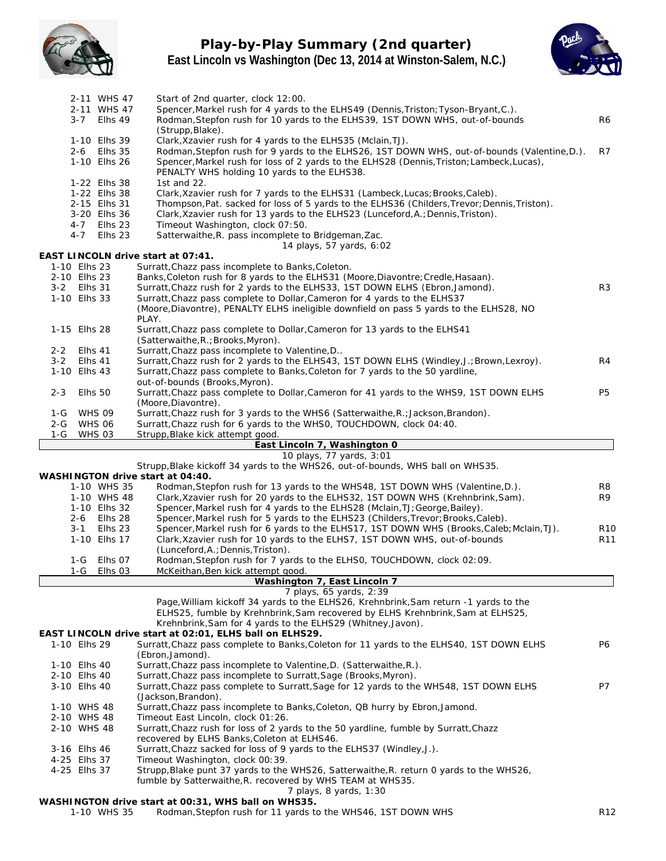

## **Play-by-Play Summary (2nd quarter) East Lincoln vs Washington (Dec 13, 2014 at Winston-Salem, N.C.)**



|         |                          | 2-11 WHS 47                  | Start of 2nd quarter, clock 12:00.                                                                                                                              |                 |
|---------|--------------------------|------------------------------|-----------------------------------------------------------------------------------------------------------------------------------------------------------------|-----------------|
|         |                          | 2-11 WHS 47                  | Spencer, Markel rush for 4 yards to the ELHS49 (Dennis, Triston; Tyson-Bryant, C.).                                                                             |                 |
|         | $3 - 7$                  | Elhs 49                      | Rodman, Stepfon rush for 10 yards to the ELHS39, 1ST DOWN WHS, out-of-bounds<br>(Strupp, Blake).                                                                | R6              |
|         |                          | 1-10 Elhs 39                 | Clark, Xzavier rush for 4 yards to the ELHS35 (Mclain, TJ).                                                                                                     |                 |
|         |                          | 2-6 Elhs 35                  | Rodman, Stepfon rush for 9 yards to the ELHS26, 1ST DOWN WHS, out-of-bounds (Valentine, D.).                                                                    | R7              |
|         |                          | 1-10 Elhs 26                 | Spencer, Markel rush for loss of 2 yards to the ELHS28 (Dennis, Triston; Lambeck, Lucas),                                                                       |                 |
|         |                          |                              | PENALTY WHS holding 10 yards to the ELHS38.                                                                                                                     |                 |
|         |                          | 1-22 Elhs 38<br>1-22 Elhs 38 | 1st and 22.<br>Clark, Xzavier rush for 7 yards to the ELHS31 (Lambeck, Lucas; Brooks, Caleb).                                                                   |                 |
|         |                          | 2-15 Elhs 31                 | Thompson, Pat. sacked for loss of 5 yards to the ELHS36 (Childers, Trevor; Dennis, Triston).                                                                    |                 |
|         |                          | 3-20 Elhs 36                 | Clark, Xzavier rush for 13 yards to the ELHS23 (Lunceford, A.; Dennis, Triston).                                                                                |                 |
|         | $4 - 7$                  | Elhs 23                      | Timeout Washington, clock 07:50.                                                                                                                                |                 |
|         | $4 - 7$                  | Elhs 23                      | Satterwaithe, R. pass incomplete to Bridgeman, Zac.                                                                                                             |                 |
|         |                          |                              | 14 plays, 57 yards, 6:02                                                                                                                                        |                 |
|         | 1-10 Elhs 23             |                              | EAST LINCOLN drive start at 07:41.<br>Surratt, Chazz pass incomplete to Banks, Coleton.                                                                         |                 |
|         | 2-10 Elhs 23             |                              | Banks, Coleton rush for 8 yards to the ELHS31 (Moore, Diavontre; Credle, Hasaan).                                                                               |                 |
|         | 3-2 Elhs 31              |                              | Surratt, Chazz rush for 2 yards to the ELHS33, 1ST DOWN ELHS (Ebron, Jamond).                                                                                   | R <sub>3</sub>  |
|         | 1-10 Elhs 33             |                              | Surratt, Chazz pass complete to Dollar, Cameron for 4 yards to the ELHS37                                                                                       |                 |
|         |                          |                              | (Moore, Diavontre), PENALTY ELHS ineligible downfield on pass 5 yards to the ELHS28, NO                                                                         |                 |
|         |                          |                              | PLAY.                                                                                                                                                           |                 |
|         | 1-15 Elhs 28             |                              | Surratt, Chazz pass complete to Dollar, Cameron for 13 yards to the ELHS41                                                                                      |                 |
| $2 - 2$ | Elhs 41                  |                              | (Satterwaithe, R.; Brooks, Myron).<br>Surratt, Chazz pass incomplete to Valentine, D                                                                            |                 |
| $3 - 2$ | Elhs 41                  |                              | Surratt, Chazz rush for 2 yards to the ELHS43, 1ST DOWN ELHS (Windley, J.; Brown, Lexroy).                                                                      | R4              |
|         | 1-10 Elhs 43             |                              | Surratt, Chazz pass complete to Banks, Coleton for 7 yards to the 50 yardline,                                                                                  |                 |
|         |                          |                              | out-of-bounds (Brooks, Myron).                                                                                                                                  |                 |
| $2 - 3$ | Elhs 50                  |                              | Surratt, Chazz pass complete to Dollar, Cameron for 41 yards to the WHS9, 1ST DOWN ELHS                                                                         | <b>P5</b>       |
|         |                          |                              | (Moore, Diavontre).                                                                                                                                             |                 |
|         | 1-G WHS 09               |                              | Surratt, Chazz rush for 3 yards to the WHS6 (Satterwaithe, R.; Jackson, Brandon).                                                                               |                 |
|         | 2-G WHS 06<br>1-G WHS 03 |                              | Surratt, Chazz rush for 6 yards to the WHSO, TOUCHDOWN, clock 04:40.<br>Strupp, Blake kick attempt good.                                                        |                 |
|         |                          |                              | East Lincoln 7, Washington 0                                                                                                                                    |                 |
|         |                          |                              | 10 plays, 77 yards, 3:01                                                                                                                                        |                 |
|         |                          |                              | Strupp, Blake kickoff 34 yards to the WHS26, out-of-bounds, WHS ball on WHS35.                                                                                  |                 |
|         |                          |                              | WASHINGTON drive start at 04:40.                                                                                                                                |                 |
|         |                          | 1-10 WHS 35                  | Rodman, Stepfon rush for 13 yards to the WHS48, 1ST DOWN WHS (Valentine, D.).                                                                                   | R8              |
|         |                          | 1-10 WHS 48<br>1-10 Elhs 32  | Clark, Xzavier rush for 20 yards to the ELHS32, 1ST DOWN WHS (Krehnbrink, Sam).<br>Spencer, Markel rush for 4 yards to the ELHS28 (Mclain, TJ; George, Bailey). | R <sub>9</sub>  |
|         |                          | 2-6 Elhs 28                  | Spencer, Markel rush for 5 yards to the ELHS23 (Childers, Trevor; Brooks, Caleb).                                                                               |                 |
|         | 3-1                      | Elhs 23                      | Spencer, Markel rush for 6 yards to the ELHS17, 1ST DOWN WHS (Brooks, Caleb; Mclain, TJ).                                                                       | R <sub>10</sub> |
|         |                          | 1-10 Elhs 17                 |                                                                                                                                                                 |                 |
|         |                          |                              |                                                                                                                                                                 | R <sub>11</sub> |
|         |                          |                              | Clark, Xzavier rush for 10 yards to the ELHS7, 1ST DOWN WHS, out-of-bounds<br>(Lunceford, A.; Dennis, Triston).                                                 |                 |
|         |                          | 1-G Elhs 07                  | Rodman, Stepfon rush for 7 yards to the ELHSO, TOUCHDOWN, clock 02:09.                                                                                          |                 |
|         |                          | 1-G Elhs 03                  | McKeithan, Ben kick attempt good.                                                                                                                               |                 |
|         |                          |                              | Washington 7, East Lincoln 7                                                                                                                                    |                 |
|         |                          |                              | 7 plays, 65 yards, 2:39                                                                                                                                         |                 |
|         |                          |                              | Page, William kickoff 34 yards to the ELHS26, Krehnbrink, Sam return -1 yards to the                                                                            |                 |
|         |                          |                              | ELHS25, fumble by Krehnbrink, Sam recovered by ELHS Krehnbrink, Sam at ELHS25,<br>Krehnbrink, Sam for 4 yards to the ELHS29 (Whitney, Javon).                   |                 |
|         |                          |                              | EAST LINCOLN drive start at 02:01, ELHS ball on ELHS29.                                                                                                         |                 |
|         | 1-10 Elhs 29             |                              | Surratt, Chazz pass complete to Banks, Coleton for 11 yards to the ELHS40, 1ST DOWN ELHS                                                                        | P6              |
|         |                          |                              | (Ebron, Jamond).                                                                                                                                                |                 |
|         | 1-10 Elhs 40             |                              | Surratt, Chazz pass incomplete to Valentine, D. (Satterwaithe, R.).                                                                                             |                 |
|         | 2-10 Elhs 40             |                              | Surratt, Chazz pass incomplete to Surratt, Sage (Brooks, Myron).                                                                                                |                 |
|         | 3-10 Elhs 40             |                              | Surratt, Chazz pass complete to Surratt, Sage for 12 yards to the WHS48, 1ST DOWN ELHS<br>(Jackson, Brandon).                                                   | P7              |
|         | 1-10 WHS 48              |                              | Surratt, Chazz pass incomplete to Banks, Coleton, QB hurry by Ebron, Jamond.                                                                                    |                 |
|         | 2-10 WHS 48              |                              | Timeout East Lincoln, clock 01:26.                                                                                                                              |                 |
|         | 2-10 WHS 48              |                              | Surratt, Chazz rush for loss of 2 yards to the 50 yardline, fumble by Surratt, Chazz                                                                            |                 |
|         |                          |                              | recovered by ELHS Banks, Coleton at ELHS46.                                                                                                                     |                 |
|         | 3-16 Elhs 46             |                              | Surratt, Chazz sacked for loss of 9 yards to the ELHS37 (Windley, J.).                                                                                          |                 |
|         | 4-25 Elhs 37             |                              | Timeout Washington, clock 00:39.                                                                                                                                |                 |
|         | 4-25 Elhs 37             |                              | Strupp, Blake punt 37 yards to the WHS26, Satterwaithe, R. return 0 yards to the WHS26,<br>fumble by Satterwaithe, R. recovered by WHS TEAM at WHS35.           |                 |
|         |                          |                              | 7 plays, 8 yards, 1:30<br>WASHINGTON drive start at 00:31, WHS ball on WHS35.                                                                                   |                 |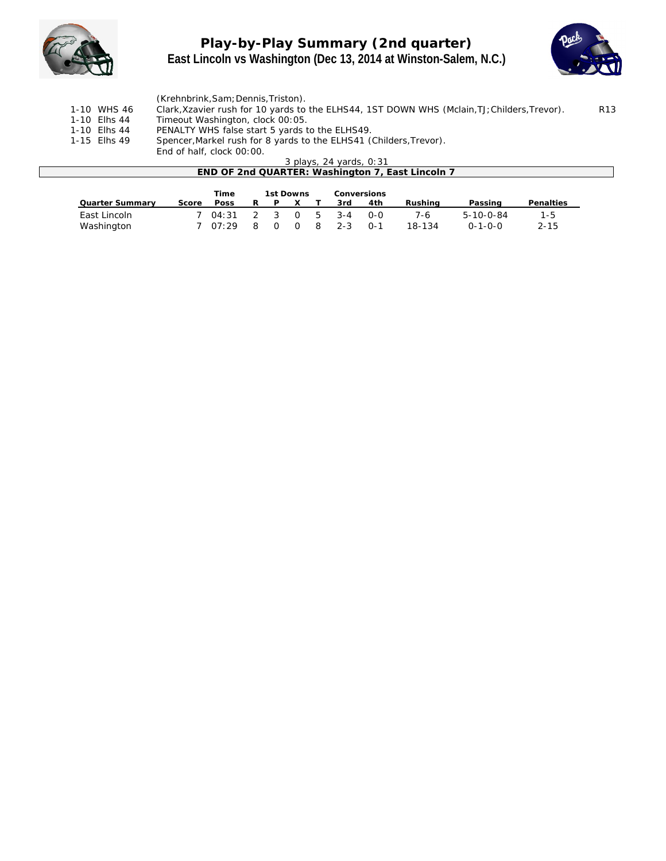

# **Play-by-Play Summary (2nd quarter) East Lincoln vs Washington (Dec 13, 2014 at Winston-Salem, N.C.)**



|                  | (Krehnbrink, Sam; Dennis, Triston).                                                          |                 |
|------------------|----------------------------------------------------------------------------------------------|-----------------|
| 1-10 WHS 46      | Clark, Xzavier rush for 10 yards to the ELHS44, 1ST DOWN WHS (Mclain, TJ; Childers, Trevor). | R <sub>13</sub> |
| 1-10 Elhs 44     | Timeout Washington, clock 00:05.                                                             |                 |
| 1-10 Elhs 44     | PENALTY WHS false start 5 yards to the ELHS49.                                               |                 |
| $1.15$ Fibe $10$ | Snencer Markel rush for 8 yards to the ELHS41 (Childers Trevor)                              |                 |

1-15 Elhs 49 Spencer,Markel rush for 8 yards to the ELHS41 (Childers,Trevor). End of half, clock 00:00.

| END OF 2nd QUARTER: Washington 7, East Lincoln 7 |       |               |   |     |          |                 |         |                    |                 |                   |  |  |
|--------------------------------------------------|-------|---------------|---|-----|----------|-----------------|---------|--------------------|-----------------|-------------------|--|--|
|                                                  |       |               |   |     |          |                 |         |                    |                 |                   |  |  |
|                                                  |       |               |   |     |          |                 |         |                    |                 |                   |  |  |
| Score                                            | Poss  | R.            | P |     |          | 3rd             | 4th     | Rushing            | Passing         | Penalties         |  |  |
|                                                  |       |               |   |     |          |                 |         |                    |                 |                   |  |  |
|                                                  |       |               |   |     |          |                 |         |                    |                 | 1-5               |  |  |
|                                                  | 07:29 | 8             |   |     | R        | $2 - 3$         | $0 - 1$ | 18-134             | $0 - 1 - 0 - 0$ | $2 - 15$          |  |  |
|                                                  |       | Time<br>04:31 |   | 2 3 | $\Omega$ | 1st Downs<br>-5 | $3 - 4$ | Conversions<br>0-0 | 7-6             | $5 - 10 - 0 - 84$ |  |  |

*3 plays, 24 yards, 0:31*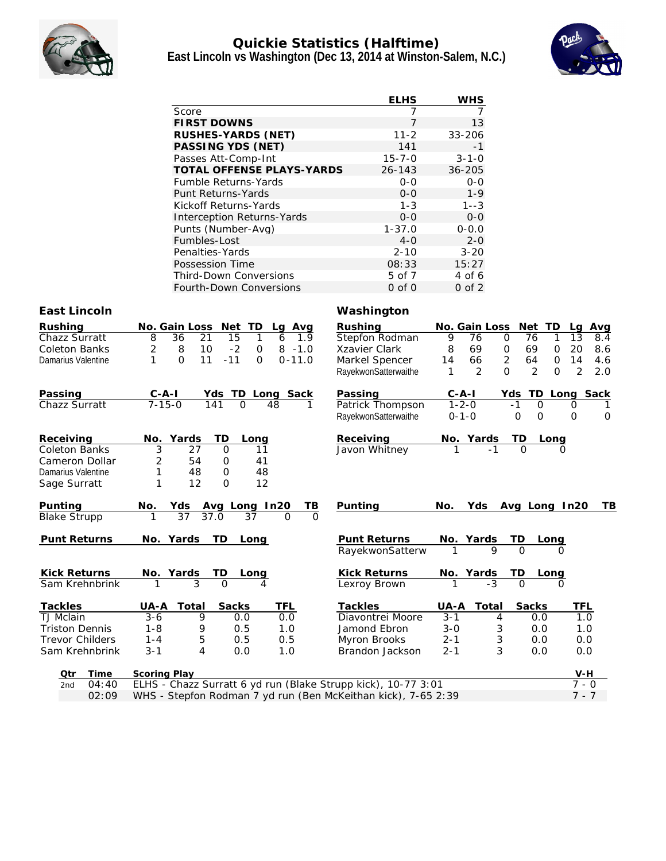

### **Quickie Statistics (Halftime) East Lincoln vs Washington (Dec 13, 2014 at Winston-Salem, N.C.)**



|                                                                               |                                   | <b>ELHS</b>          | <b>WHS</b>          |                       |                       |
|-------------------------------------------------------------------------------|-----------------------------------|----------------------|---------------------|-----------------------|-----------------------|
| Score                                                                         |                                   | 7                    | 7                   |                       |                       |
| <b>FIRST DOWNS</b>                                                            |                                   | 7                    | 13                  |                       |                       |
| RUSHES-YARDS (NET)                                                            |                                   | $11 - 2$             | 33-206              |                       |                       |
| PASSING YDS (NET)                                                             |                                   | 141                  | -1                  |                       |                       |
| Passes Att-Comp-Int                                                           |                                   | $15 - 7 - 0$         | $3 - 1 - 0$         |                       |                       |
| TOTAL OFFENSE PLAYS-YARDS                                                     |                                   | 26-143               | 36-205              |                       |                       |
| Fumble Returns-Yards                                                          |                                   | $0 - 0$              | $0 - 0$             |                       |                       |
| Punt Returns-Yards                                                            |                                   | $0 - 0$              | $1 - 9$             |                       |                       |
| Kickoff Returns-Yards                                                         |                                   | $1 - 3$              | $1 - -3$            |                       |                       |
| Interception Returns-Yards                                                    |                                   | $0 - 0$              | $O-O$               |                       |                       |
| Punts (Number-Avg)                                                            |                                   | $1 - 37.0$           | $0 - 0.0$           |                       |                       |
| Fumbles-Lost                                                                  |                                   | $4 - 0$              | $2 - 0$             |                       |                       |
| Penalties-Yards                                                               |                                   | $2 - 10$             | $3 - 20$            |                       |                       |
| Possession Time                                                               |                                   | 08:33                | 15:27               |                       |                       |
| <b>Third-Down Conversions</b>                                                 |                                   | 5 of 7               | 4 of 6              |                       |                       |
| Fourth-Down Conversions                                                       |                                   | $0$ of $0$           | $0$ of $2$          |                       |                       |
| East Lincoln                                                                  |                                   | Washington           |                     |                       |                       |
| Rushing<br>No. Gain Loss Net TD                                               | Lg Avg                            | Rushing              | No. Gain Loss Net   | TD                    | La<br><u>Avg</u>      |
| Chazz Surratt<br>8<br>36<br>21<br>15<br>1                                     | 6<br>1.9                          | Stepfon Rodman       | 9<br>76             | 76<br>1<br>0          | 13<br>8.4             |
| Coleton Banks<br>2<br>8<br>10<br>$-2$<br>0                                    | $8 - 1.0$                         | Xzavier Clark        | 69<br>8             | 69<br>0<br>0          | 20<br>8.6             |
| 0<br>$-11$<br>Damarius Valentine<br>1<br>11<br>0                              | $0 - 11.0$                        | Markel Spencer       | 14<br>66            | 2<br>64<br>0          | 14<br>4.6             |
|                                                                               |                                   | RayekwonSatterwaithe | $\overline{2}$<br>1 | 2<br>0<br>0           | $\overline{2}$<br>2.0 |
| Passing<br>Yds TD Long Sack<br><u>C-A-I</u>                                   |                                   | Passing              | $C-A-I$             | Yds TD Long Sack      |                       |
| $7 - 15 - 0$<br>141<br>0<br>Chazz Surratt<br>48                               |                                   | Patrick Thompson     | $1 - 2 - 0$         | $-1$<br>0             | 0<br>1                |
|                                                                               |                                   | RayekwonSatterwaithe | $0 - 1 - 0$         | 0<br>0                | 0<br>0                |
| Receiving<br>No. Yards<br>TD<br>Long                                          |                                   | Receiving            | <u>No. Yards</u>    | TD.<br>Long           |                       |
| Coleton Banks<br>3<br>27<br>0<br>11                                           |                                   | Javon Whitney        |                     | $\Omega$              |                       |
| 54<br>41<br>Cameron Dollar<br>2<br>0                                          |                                   |                      |                     |                       |                       |
| Damarius Valentine<br>48<br>1<br>48<br>0                                      |                                   |                      |                     |                       |                       |
| 1<br>12<br>12<br>Sage Surratt<br>0                                            |                                   |                      |                     |                       |                       |
| Punting<br>Yds Avg Long In20<br>NO.                                           |                                   | Punting              | No.                 | Yds Avg Long In20     | TВ                    |
| <b>Blake Strupp</b><br>37<br>37.0<br>37                                       | <u>TB</u><br>$\Omega$<br>$\Omega$ |                      |                     |                       |                       |
|                                                                               |                                   |                      |                     |                       |                       |
| <b>Punt Returns</b><br>No. Yards<br>TD<br>Long                                |                                   | Punt Returns         | No. Yards           | TD.<br>Long           |                       |
|                                                                               |                                   | RayekwonSatterw      |                     |                       |                       |
| Kick Returns                                                                  |                                   | Kick Returns         | No. Yards           |                       |                       |
| No. Yards<br>TD.<br>Long<br>Sam Krehnbrink<br>1<br>O<br>3<br>4                |                                   | Lexroy Brown         | Т.<br>-3            | TD.<br>Long<br>O<br>U |                       |
|                                                                               |                                   |                      |                     |                       |                       |
| UA-A Total<br>Tackles<br>Sacks                                                | TFL                               | Tackles              | UA-A<br>Total       | Sacks                 | TFL                   |
| TJ Mclain<br>9<br>3-6<br>0.0                                                  | 0.0                               | Diavontrei Moore     | 3-1                 | 4<br>0.0              | 1.0                   |
| <b>Triston Dennis</b><br>$1 - 8$<br>0.5<br>9                                  | 1.0                               | Jamond Ebron         | $3 - 0$             | 3<br>0.0              | 1.0                   |
| <b>Trevor Childers</b><br>$1 - 4$<br>5<br>0.5                                 | 0.5                               | Myron Brooks         | $2 - 1$             | 3<br>0.0              | 0.0                   |
| $3 - 1$<br>Sam Krehnbrink<br>0.0<br>4                                         | 1.0                               | Brandon Jackson      | $2 - 1$             | 3<br>0.0              | 0.0                   |
| Time<br>Scoring Play<br>Qtr                                                   |                                   |                      |                     |                       | V-H                   |
| ELHS - Chazz Surratt 6 yd run (Blake Strupp kick), 10-77 3:01<br>04:40<br>2nd |                                   |                      |                     |                       | $7 - 0$               |
| 02:09<br>WHS - Stepfon Rodman 7 yd run (Ben McKeithan kick), 7-65 2:39        |                                   |                      |                     |                       | $7 - 7$               |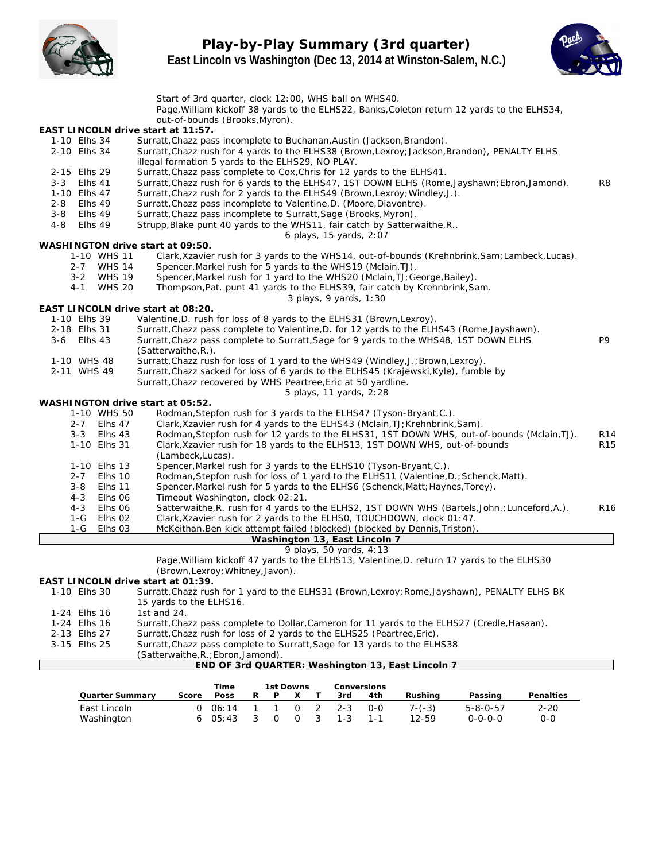

# **Play-by-Play Summary (3rd quarter) East Lincoln vs Washington (Dec 13, 2014 at Winston-Salem, N.C.)**



|         |              |                                    |                                                                  |                   |         | out-of-bounds (Brooks, Myron).     |              |              |              |   |                         | Start of 3rd quarter, clock 12:00, WHS ball on WHS40.       |                                                                                      | Page, William kickoff 38 yards to the ELHS22, Banks, Coleton return 12 yards to the ELHS34,   |                                                                                                |                 |
|---------|--------------|------------------------------------|------------------------------------------------------------------|-------------------|---------|------------------------------------|--------------|--------------|--------------|---|-------------------------|-------------------------------------------------------------|--------------------------------------------------------------------------------------|-----------------------------------------------------------------------------------------------|------------------------------------------------------------------------------------------------|-----------------|
|         |              | EAST LINCOLN drive start at 11:57. |                                                                  |                   |         |                                    |              |              |              |   |                         |                                                             |                                                                                      |                                                                                               |                                                                                                |                 |
|         | 1-10 Elhs 34 |                                    |                                                                  |                   |         |                                    |              |              |              |   |                         |                                                             | Surratt, Chazz pass incomplete to Buchanan, Austin (Jackson, Brandon).               |                                                                                               |                                                                                                |                 |
|         | 2-10 Elhs 34 |                                    |                                                                  |                   |         |                                    |              |              |              |   |                         |                                                             |                                                                                      | Surratt, Chazz rush for 4 yards to the ELHS38 (Brown, Lexroy; Jackson, Brandon), PENALTY ELHS |                                                                                                |                 |
|         |              |                                    | illegal formation 5 yards to the ELHS29, NO PLAY.                |                   |         |                                    |              |              |              |   |                         |                                                             |                                                                                      |                                                                                               |                                                                                                |                 |
|         | 2-15 Elhs 29 |                                    |                                                                  |                   |         |                                    |              |              |              |   |                         |                                                             | Surratt, Chazz pass complete to Cox, Chris for 12 yards to the ELHS41.               |                                                                                               |                                                                                                |                 |
| $3 - 3$ | Elhs 41      |                                    |                                                                  |                   |         |                                    |              |              |              |   |                         |                                                             |                                                                                      | Surratt, Chazz rush for 6 yards to the ELHS47, 1ST DOWN ELHS (Rome, Jayshawn; Ebron, Jamond). |                                                                                                | R8              |
|         | 1-10 Elhs 47 |                                    |                                                                  |                   |         |                                    |              |              |              |   |                         |                                                             | Surratt, Chazz rush for 2 yards to the ELHS49 (Brown, Lexroy; Windley, J.).          |                                                                                               |                                                                                                |                 |
|         |              |                                    |                                                                  |                   |         |                                    |              |              |              |   |                         |                                                             |                                                                                      |                                                                                               |                                                                                                |                 |
| $2 - 8$ | Elhs 49      |                                    |                                                                  |                   |         |                                    |              |              |              |   |                         |                                                             | Surratt, Chazz pass incomplete to Valentine, D. (Moore, Diavontre).                  |                                                                                               |                                                                                                |                 |
| $3 - 8$ | Elhs 49      |                                    | Surratt, Chazz pass incomplete to Surratt, Sage (Brooks, Myron). |                   |         |                                    |              |              |              |   |                         |                                                             |                                                                                      |                                                                                               |                                                                                                |                 |
|         | 4-8 Elhs 49  |                                    |                                                                  |                   |         |                                    |              |              |              |   |                         |                                                             | Strupp, Blake punt 40 yards to the WHS11, fair catch by Satterwaithe, R              |                                                                                               |                                                                                                |                 |
|         |              |                                    |                                                                  |                   |         |                                    |              |              |              |   |                         | 6 plays, 15 yards, 2:07                                     |                                                                                      |                                                                                               |                                                                                                |                 |
|         |              | WASHINGTON drive start at 09:50.   |                                                                  |                   |         |                                    |              |              |              |   |                         |                                                             |                                                                                      |                                                                                               |                                                                                                |                 |
|         |              | 1-10 WHS 11                        |                                                                  |                   |         |                                    |              |              |              |   |                         |                                                             |                                                                                      |                                                                                               | Clark, Xzavier rush for 3 yards to the WHS14, out-of-bounds (Krehnbrink, Sam; Lambeck, Lucas). |                 |
|         |              | 2-7 WHS 14                         |                                                                  |                   |         |                                    |              |              |              |   |                         | Spencer, Markel rush for 5 yards to the WHS19 (Mclain, TJ). |                                                                                      |                                                                                               |                                                                                                |                 |
|         |              | 3-2 WHS 19                         |                                                                  |                   |         |                                    |              |              |              |   |                         |                                                             | Spencer, Markel rush for 1 yard to the WHS20 (Mclain, TJ; George, Bailey).           |                                                                                               |                                                                                                |                 |
|         | 4-1          | <b>WHS 20</b>                      |                                                                  |                   |         |                                    |              |              |              |   |                         |                                                             | Thompson, Pat. punt 41 yards to the ELHS39, fair catch by Krehnbrink, Sam.           |                                                                                               |                                                                                                |                 |
|         |              |                                    |                                                                  |                   |         |                                    |              |              |              |   | 3 plays, 9 yards, 1:30  |                                                             |                                                                                      |                                                                                               |                                                                                                |                 |
|         |              | EAST LINCOLN drive start at 08:20. |                                                                  |                   |         |                                    |              |              |              |   |                         |                                                             |                                                                                      |                                                                                               |                                                                                                |                 |
|         | 1-10 Elhs 39 |                                    |                                                                  |                   |         |                                    |              |              |              |   |                         |                                                             | Valentine, D. rush for loss of 8 yards to the ELHS31 (Brown, Lexroy).                |                                                                                               |                                                                                                |                 |
|         | 2-18 Elhs 31 |                                    |                                                                  |                   |         |                                    |              |              |              |   |                         |                                                             |                                                                                      | Surratt, Chazz pass complete to Valentine, D. for 12 yards to the ELHS43 (Rome, Jayshawn).    |                                                                                                |                 |
|         | 3-6 Elhs 43  |                                    |                                                                  |                   |         |                                    |              |              |              |   |                         |                                                             |                                                                                      | Surratt, Chazz pass complete to Surratt, Sage for 9 yards to the WHS48, 1ST DOWN ELHS         |                                                                                                | P9              |
|         |              |                                    | (Satterwaithe, R.).                                              |                   |         |                                    |              |              |              |   |                         |                                                             |                                                                                      |                                                                                               |                                                                                                |                 |
|         | 1-10 WHS 48  |                                    |                                                                  |                   |         |                                    |              |              |              |   |                         |                                                             | Surratt, Chazz rush for loss of 1 yard to the WHS49 (Windley, J.; Brown, Lexroy).    |                                                                                               |                                                                                                |                 |
|         | 2-11 WHS 49  |                                    |                                                                  |                   |         |                                    |              |              |              |   |                         |                                                             | Surratt, Chazz sacked for loss of 6 yards to the ELHS45 (Krajewski, Kyle), fumble by |                                                                                               |                                                                                                |                 |
|         |              |                                    | Surratt, Chazz recovered by WHS Peartree, Eric at 50 yardline.   |                   |         |                                    |              |              |              |   |                         |                                                             |                                                                                      |                                                                                               |                                                                                                |                 |
|         |              |                                    |                                                                  |                   |         |                                    |              |              |              |   | 5 plays, 11 yards, 2:28 |                                                             |                                                                                      |                                                                                               |                                                                                                |                 |
|         |              | WASHINGTON drive start at 05:52.   |                                                                  |                   |         |                                    |              |              |              |   |                         |                                                             |                                                                                      |                                                                                               |                                                                                                |                 |
|         |              | 1-10 WHS 50                        |                                                                  |                   |         |                                    |              |              |              |   |                         |                                                             | Rodman, Stepfon rush for 3 yards to the ELHS47 (Tyson-Bryant, C.).                   |                                                                                               |                                                                                                |                 |
|         | $2 - 7$      | Elhs 47                            |                                                                  |                   |         |                                    |              |              |              |   |                         |                                                             | Clark, Xzavier rush for 4 yards to the ELHS43 (Mclain, TJ; Krehnbrink, Sam).         |                                                                                               |                                                                                                |                 |
|         |              |                                    |                                                                  |                   |         |                                    |              |              |              |   |                         |                                                             |                                                                                      |                                                                                               |                                                                                                |                 |
|         | $3 - 3$      | Elhs 43<br>1-10 Elhs 31            |                                                                  |                   |         |                                    |              |              |              |   |                         |                                                             |                                                                                      |                                                                                               | Rodman, Stepfon rush for 12 yards to the ELHS31, 1ST DOWN WHS, out-of-bounds (Mclain, TJ).     | R14<br>R15      |
|         |              |                                    |                                                                  |                   |         |                                    |              |              |              |   |                         |                                                             | Clark, Xzavier rush for 18 yards to the ELHS13, 1ST DOWN WHS, out-of-bounds          |                                                                                               |                                                                                                |                 |
|         |              |                                    |                                                                  | (Lambeck, Lucas). |         |                                    |              |              |              |   |                         |                                                             |                                                                                      |                                                                                               |                                                                                                |                 |
|         |              | 1-10 Elhs 13                       |                                                                  |                   |         |                                    |              |              |              |   |                         |                                                             | Spencer, Markel rush for 3 yards to the ELHS10 (Tyson-Bryant, C.).                   |                                                                                               |                                                                                                |                 |
|         | $2 - 7$      | Elhs 10                            |                                                                  |                   |         |                                    |              |              |              |   |                         |                                                             |                                                                                      | Rodman, Stepfon rush for loss of 1 yard to the ELHS11 (Valentine, D.; Schenck, Matt).         |                                                                                                |                 |
|         | $3 - 8$      | Elhs 11                            |                                                                  |                   |         |                                    |              |              |              |   |                         |                                                             | Spencer, Markel rush for 5 yards to the ELHS6 (Schenck, Matt; Haynes, Torey).        |                                                                                               |                                                                                                |                 |
|         | $4 - 3$      | Elhs 06                            |                                                                  |                   |         | Timeout Washington, clock 02:21.   |              |              |              |   |                         |                                                             |                                                                                      |                                                                                               |                                                                                                |                 |
|         | $4 - 3$      | Elhs 06                            |                                                                  |                   |         |                                    |              |              |              |   |                         |                                                             |                                                                                      | Satterwaithe, R. rush for 4 yards to the ELHS2, 1ST DOWN WHS (Bartels, John.; Lunceford, A.). |                                                                                                | R <sub>16</sub> |
|         | 1-G          | Elhs 02                            |                                                                  |                   |         |                                    |              |              |              |   |                         |                                                             | Clark, Xzavier rush for 2 yards to the ELHSO, TOUCHDOWN, clock 01:47.                |                                                                                               |                                                                                                |                 |
|         | $1-G$        | Elhs 03                            |                                                                  |                   |         |                                    |              |              |              |   |                         |                                                             | McKeithan, Ben kick attempt failed (blocked) (blocked by Dennis, Triston).           |                                                                                               |                                                                                                |                 |
|         |              |                                    |                                                                  |                   |         |                                    |              |              |              |   |                         | Washington 13, East Lincoln 7                               |                                                                                      |                                                                                               |                                                                                                |                 |
|         |              |                                    |                                                                  |                   |         |                                    |              |              |              |   |                         | 9 plays, 50 yards, 4:13                                     |                                                                                      |                                                                                               |                                                                                                |                 |
|         |              |                                    |                                                                  |                   |         |                                    |              |              |              |   |                         |                                                             |                                                                                      | Page, William kickoff 47 yards to the ELHS13, Valentine, D. return 17 yards to the ELHS30     |                                                                                                |                 |
|         |              |                                    |                                                                  |                   |         | (Brown, Lexroy; Whitney, Javon).   |              |              |              |   |                         |                                                             |                                                                                      |                                                                                               |                                                                                                |                 |
|         |              | EAST LINCOLN drive start at 01:39. |                                                                  |                   |         |                                    |              |              |              |   |                         |                                                             |                                                                                      |                                                                                               |                                                                                                |                 |
|         | 1-10 Elhs 30 |                                    |                                                                  |                   |         |                                    |              |              |              |   |                         |                                                             |                                                                                      | Surratt, Chazz rush for 1 yard to the ELHS31 (Brown, Lexroy; Rome, Jayshawn), PENALTY ELHS BK |                                                                                                |                 |
|         |              |                                    | 15 yards to the ELHS16.                                          |                   |         |                                    |              |              |              |   |                         |                                                             |                                                                                      |                                                                                               |                                                                                                |                 |
|         | 1-24 Elhs 16 |                                    | 1st and 24.                                                      |                   |         |                                    |              |              |              |   |                         |                                                             |                                                                                      |                                                                                               |                                                                                                |                 |
|         | 1-24 Elhs 16 |                                    |                                                                  |                   |         |                                    |              |              |              |   |                         |                                                             |                                                                                      | Surratt, Chazz pass complete to Dollar, Cameron for 11 yards to the ELHS27 (Credle, Hasaan).  |                                                                                                |                 |
|         | 2-13 Elhs 27 |                                    |                                                                  |                   |         |                                    |              |              |              |   |                         |                                                             | Surratt, Chazz rush for loss of 2 yards to the ELHS25 (Peartree, Eric).              |                                                                                               |                                                                                                |                 |
|         | 3-15 Elhs 25 |                                    |                                                                  |                   |         |                                    |              |              |              |   |                         |                                                             | Surratt, Chazz pass complete to Surratt, Sage for 13 yards to the ELHS38             |                                                                                               |                                                                                                |                 |
|         |              |                                    |                                                                  |                   |         | (Satterwaithe, R.; Ebron, Jamond). |              |              |              |   |                         |                                                             |                                                                                      |                                                                                               |                                                                                                |                 |
|         |              |                                    |                                                                  |                   |         |                                    |              |              |              |   |                         |                                                             | END OF 3rd QUARTER: Washington 13, East Lincoln 7                                    |                                                                                               |                                                                                                |                 |
|         |              |                                    |                                                                  |                   |         |                                    |              |              |              |   |                         |                                                             |                                                                                      |                                                                                               |                                                                                                |                 |
|         |              |                                    |                                                                  |                   |         | Time                               |              |              | 1st Downs    |   |                         | Conversions                                                 |                                                                                      |                                                                                               |                                                                                                |                 |
|         |              | Quarter Summary                    |                                                                  | Score             |         | Poss                               | R            | P            | Х            | Τ | 3rd                     | 4th                                                         | Rushing                                                                              | Passing                                                                                       | Penalties                                                                                      |                 |
|         |              | East Lincoln                       |                                                                  |                   | $\circ$ | 06:14                              | $\mathbf{1}$ | $\mathbf{1}$ | $\mathsf{O}$ | 2 | $2 - 3$                 | $0-0$                                                       | $7-(-3)$                                                                             | 5-8-0-57                                                                                      | $2 - 20$                                                                                       |                 |
|         |              | Washington                         |                                                                  |                   | 6       | 05:43                              | 3            | 0            | $\mathsf{O}$ | 3 | $1 - 3$                 | 1-1                                                         | 12-59                                                                                | $0 - 0 - 0 - 0$                                                                               | $0-0$                                                                                          |                 |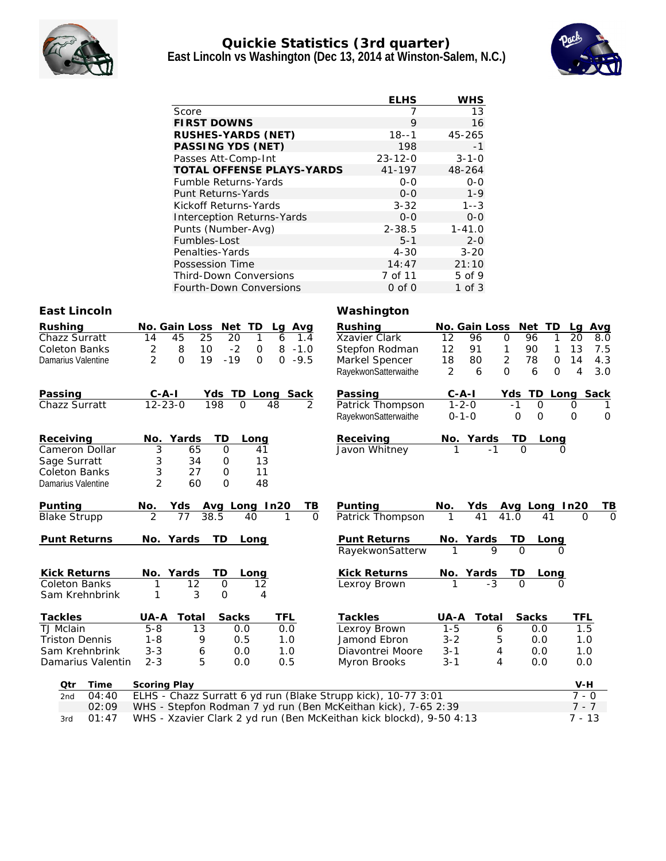

### **Quickie Statistics (3rd quarter) East Lincoln vs Washington (Dec 13, 2014 at Winston-Salem, N.C.)**



|                       |                                                               | <b>ELHS</b>          | <b>WHS</b>                            |             |
|-----------------------|---------------------------------------------------------------|----------------------|---------------------------------------|-------------|
|                       | Score                                                         | 7                    | 13                                    |             |
|                       | <b>FIRST DOWNS</b>                                            | 9                    | 16                                    |             |
|                       | RUSHES-YARDS (NET)                                            | $18 - -1$            | 45-265                                |             |
|                       | PASSING YDS (NET)                                             | 198                  | $-1$                                  |             |
|                       | Passes Att-Comp-Int                                           | $23 - 12 - 0$        | $3 - 1 - 0$                           |             |
|                       | TOTAL OFFENSE PLAYS-YARDS                                     | 41-197               | 48-264                                |             |
|                       | Fumble Returns-Yards                                          | $0 - 0$              | $0-0$                                 |             |
|                       | Punt Returns-Yards                                            | $O-O$                | $1 - 9$                               |             |
|                       | Kickoff Returns-Yards                                         | $3 - 32$             | $1 - -3$                              |             |
|                       | Interception Returns-Yards                                    | $O-O$                | $0-0$                                 |             |
|                       | Punts (Number-Avg)                                            | $2 - 38.5$           | $1 - 41.0$                            |             |
|                       | Fumbles-Lost                                                  | $5 - 1$              | $2 - 0$                               |             |
|                       | Penalties-Yards                                               | $4 - 30$             | $3 - 20$                              |             |
|                       | Possession Time                                               | 14:47                | 21:10                                 |             |
|                       | Third-Down Conversions                                        | 7 of 11              | 5 of 9                                |             |
|                       | Fourth-Down Conversions                                       | $0$ of $0$           | $1$ of $3$                            |             |
| East Lincoln          |                                                               | Washington           |                                       |             |
| Rushing               | No. Gain Loss Net TD<br>Lg Avg                                | Rushing              | No. Gain Loss Net TD                  | Avg<br>La   |
| Chazz Surratt         | 14<br>45<br>25<br>20<br>6<br>1<br>1.4                         | Xzavier Clark        | 12<br>96<br>0<br>96<br>1              | 20<br>8.0   |
| Coleton Banks         | 8<br>10<br>$-2$<br>$8 - 1.0$<br>2<br>0                        | Stepfon Rodman       | 12<br>91<br>$\mathbf{1}$<br>90<br>1   | 13<br>7.5   |
| Damarius Valentine    | $\overline{2}$<br>$\Omega$<br>19<br>$-19$<br>$0 - 9.5$<br>0   | Markel Spencer       | 18<br>$\overline{2}$<br>80<br>78<br>0 | 14<br>4.3   |
|                       |                                                               | RayekwonSatterwaithe | 2<br>6<br>0<br>6<br>0                 | 4<br>3.0    |
| Passing               | $C-A-I$<br>Yds TD Long Sack                                   | Passing              | Yds TD Long<br>$C-A-I$                | <b>Sack</b> |
| Chazz Surratt         | $12 - 23 - 0$<br>198<br>O<br>48<br>2                          | Patrick Thompson     | $1 - 2 - 0$<br>$\circ$<br>$-1$        | 0<br>1      |
|                       |                                                               | RayekwonSatterwaithe | $\mathsf{O}$<br>$0 - 1 - 0$<br>0      | 0<br>0      |
| Receiving             | Yards<br>No.<br>TD.<br>Long                                   | Receiving            | <u>No. Yards</u><br>TD.<br>Long       |             |
| Cameron Dollar        | 3<br>65<br>0<br>41                                            | Javon Whitney        | 1<br>$-1$<br>$\Omega$                 | O           |
| Sage Surratt          | 3<br>34<br>13<br>0                                            |                      |                                       |             |
| Coleton Banks         | 3<br>27<br>11<br>0                                            |                      |                                       |             |
| Damarius Valentine    | 2<br>60<br>48<br>0                                            |                      |                                       |             |
| Punting               | <u>Avg Long In20</u><br><u>ТВ</u><br>No.<br>Yds               | Punting              | <u>Yds</u><br>No.<br>Avg Long In20    |             |
| <b>Blake Strupp</b>   | 77<br>38.5<br>$\Omega$<br>40<br>1                             | Patrick Thompson     | 41<br>41.0<br>41                      |             |
| Punt Returns          | No. Yards<br>TD<br>Long                                       | Punt Returns         | No. Yards<br>TD<br>Long               |             |
|                       |                                                               | RayekwonSatterw      | 9<br>$\Omega$                         | 0           |
| Kick Returns          | No. Yards<br>TD.<br>Long                                      | <b>Kick Returns</b>  | No. Yards<br>TD.<br>Long              |             |
| Coleton Banks         | 12<br>O<br>12                                                 | Lexroy Brown         | -3<br>$\cup$                          | U           |
| Sam Krehnbrink        | 3<br>O<br>1<br>4                                              |                      |                                       |             |
| Tackles               | Total<br>Sacks<br>TFL<br>UA-A                                 | Tackles              | Sacks<br>UA-A<br>Total                | <b>TFL</b>  |
| TJ Mclain             | 13<br>$5 - 8$<br>0.0<br>0.0                                   | Lexroy Brown         | $1 - 5$<br>0.0<br>6                   | 1.5         |
| <b>Triston Dennis</b> | $1 - 8$<br>0.5<br>9<br>1.0                                    | Jamond Ebron         | $3 - 2$<br>5<br>0.0                   | 1.0         |
| Sam Krehnbrink        | 1.0<br>$3 - 3$<br>0.0<br>6                                    | Diavontrei Moore     | $3 - 1$<br>0.0<br>4                   | 1.0         |
| Damarius Valentin     | 5<br>0.0<br>$2 - 3$<br>0.5                                    | Myron Brooks         | $3 - 1$<br>0.0<br>4                   | 0.0         |
| Time<br>Qtr           | Scoring Play                                                  |                      |                                       | V-H         |
| 04:40<br>2nd          | ELHS - Chazz Surratt 6 yd run (Blake Strupp kick), 10-77 3:01 |                      |                                       | 7 - 0       |
| 02:09                 | WHS - Stepfon Rodman 7 yd run (Ben McKeithan kick), 7-65 2:39 |                      |                                       | $7 - 7$     |
|                       |                                                               |                      |                                       |             |

3rd 01:47 WHS - Xzavier Clark 2 yd run (Ben McKeithan kick blockd), 9-50 4:13 7 - 73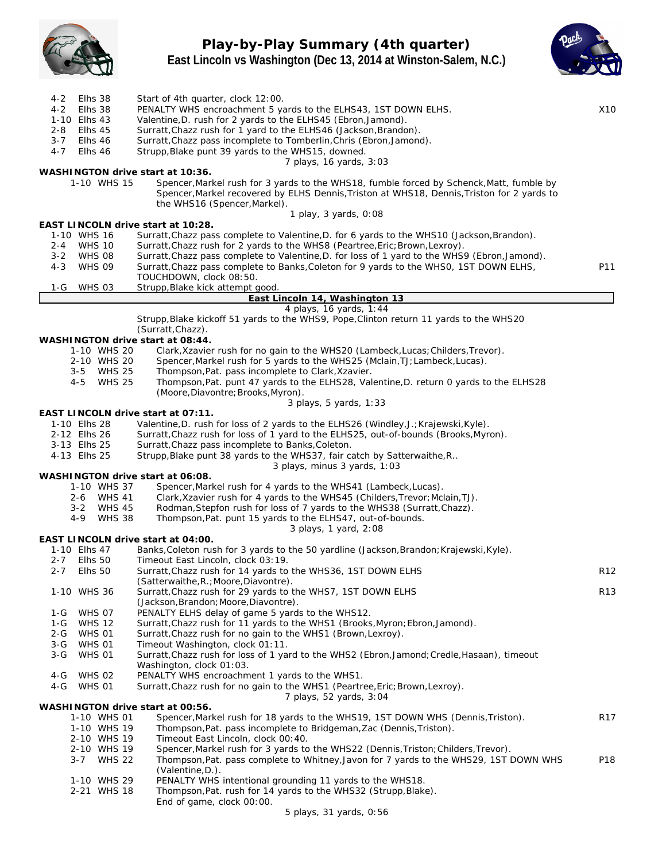

## **Play-by-Play Summary (4th quarter) East Lincoln vs Washington (Dec 13, 2014 at Winston-Salem, N.C.)**



| 4-2<br>Elhs 38                                    | Start of 4th quarter, clock 12:00.                                                                                                           |                 |
|---------------------------------------------------|----------------------------------------------------------------------------------------------------------------------------------------------|-----------------|
| $4 - 2$<br>Elhs 38<br>1-10 Elhs 43                | PENALTY WHS encroachment 5 yards to the ELHS43, 1ST DOWN ELHS.<br>Valentine, D. rush for 2 yards to the ELHS45 (Ebron, Jamond).              | X10             |
| $2 - 8$<br>Elhs 45                                | Surratt, Chazz rush for 1 yard to the ELHS46 (Jackson, Brandon).                                                                             |                 |
| Elhs 46<br>$3 - 7$                                | Surratt, Chazz pass incomplete to Tomberlin, Chris (Ebron, Jamond).                                                                          |                 |
| $4 - 7$<br>Elhs 46                                | Strupp, Blake punt 39 yards to the WHS15, downed.                                                                                            |                 |
| WASHINGTON drive start at 10:36.                  | 7 plays, 16 yards, 3:03                                                                                                                      |                 |
| 1-10 WHS 15                                       | Spencer, Markel rush for 3 yards to the WHS18, fumble forced by Schenck, Matt, fumble by                                                     |                 |
|                                                   | Spencer, Markel recovered by ELHS Dennis, Triston at WHS18, Dennis, Triston for 2 yards to                                                   |                 |
|                                                   | the WHS16 (Spencer, Markel).                                                                                                                 |                 |
|                                                   | 1 play, 3 yards, 0:08                                                                                                                        |                 |
| EAST LINCOLN drive start at 10:28.<br>1-10 WHS 16 | Surratt, Chazz pass complete to Valentine, D. for 6 yards to the WHS10 (Jackson, Brandon).                                                   |                 |
| 2-4 WHS 10                                        | Surratt, Chazz rush for 2 yards to the WHS8 (Peartree, Eric; Brown, Lexroy).                                                                 |                 |
| 3-2 WHS 08                                        | Surratt, Chazz pass complete to Valentine, D. for loss of 1 yard to the WHS9 (Ebron, Jamond).                                                |                 |
| $4 - 3$<br><b>WHS 09</b>                          | Surratt, Chazz pass complete to Banks, Coleton for 9 yards to the WHSO, 1ST DOWN ELHS,                                                       | P11             |
|                                                   | TOUCHDOWN, clock 08:50.                                                                                                                      |                 |
| <b>WHS 03</b><br>1-G                              | Strupp, Blake kick attempt good.<br>East Lincoln 14, Washington 13                                                                           |                 |
|                                                   | 4 plays, 16 yards, 1:44                                                                                                                      |                 |
|                                                   | Strupp, Blake kickoff 51 yards to the WHS9, Pope, Clinton return 11 yards to the WHS20                                                       |                 |
|                                                   | (Surratt, Chazz).                                                                                                                            |                 |
| WASHINGTON drive start at 08:44.<br>1-10 WHS 20   | Clark, Xzavier rush for no gain to the WHS20 (Lambeck, Lucas; Childers, Trevor).                                                             |                 |
| 2-10 WHS 20                                       | Spencer, Markel rush for 5 yards to the WHS25 (Mclain, TJ; Lambeck, Lucas).                                                                  |                 |
| 3-5 WHS 25                                        | Thompson, Pat. pass incomplete to Clark, Xzavier.                                                                                            |                 |
| $4 - 5$<br><b>WHS 25</b>                          | Thompson, Pat. punt 47 yards to the ELHS28, Valentine, D. return 0 yards to the ELHS28                                                       |                 |
|                                                   | (Moore, Diavontre; Brooks, Myron).                                                                                                           |                 |
| EAST LINCOLN drive start at 07:11.                | 3 plays, 5 yards, 1:33                                                                                                                       |                 |
| 1-10 Elhs 28                                      | Valentine, D. rush for loss of 2 yards to the ELHS26 (Windley, J.; Krajewski, Kyle).                                                         |                 |
| 2-12 Elhs 26                                      | Surratt, Chazz rush for loss of 1 yard to the ELHS25, out-of-bounds (Brooks, Myron).                                                         |                 |
| 3-13 Elhs 25                                      | Surratt, Chazz pass incomplete to Banks, Coleton.                                                                                            |                 |
| 4-13 Elhs 25                                      | Strupp, Blake punt 38 yards to the WHS37, fair catch by Satterwaithe, R<br>3 plays, minus 3 yards, 1:03                                      |                 |
| WASHINGTON drive start at 06:08.                  |                                                                                                                                              |                 |
| 1-10 WHS 37                                       | Spencer, Markel rush for 4 yards to the WHS41 (Lambeck, Lucas).                                                                              |                 |
| 2-6 WHS 41                                        | Clark, Xzavier rush for 4 yards to the WHS45 (Childers, Trevor; Mclain, TJ).                                                                 |                 |
| <b>WHS 45</b><br>$3 - 2$<br><b>WHS 38</b><br>4-9  | Rodman, Stepfon rush for loss of 7 yards to the WHS38 (Surratt, Chazz).<br>Thompson, Pat. punt 15 yards to the ELHS47, out-of-bounds.        |                 |
|                                                   | 3 plays, 1 yard, 2:08                                                                                                                        |                 |
| EAST LINCOLN drive start at 04:00.                |                                                                                                                                              |                 |
| 1-10 Elhs 47                                      | Banks, Coleton rush for 3 yards to the 50 yardline (Jackson, Brandon; Krajewski, Kyle).                                                      |                 |
| $2 - 7$<br>Elhs 50<br>Elhs 50<br>$2 - 7$          | Timeout East Lincoln, clock 03:19.<br>Surratt, Chazz rush for 14 yards to the WHS36, 1ST DOWN ELHS                                           | R12             |
|                                                   | (Satterwaithe, R.; Moore, Diavontre).                                                                                                        |                 |
| 1-10 WHS 36                                       | Surratt, Chazz rush for 29 yards to the WHS7, 1ST DOWN ELHS                                                                                  | R <sub>13</sub> |
|                                                   | (Jackson, Brandon; Moore, Diavontre).                                                                                                        |                 |
| <b>WHS 07</b><br>1-G                              | PENALTY ELHS delay of game 5 yards to the WHS12.                                                                                             |                 |
| 1-G<br><b>WHS 12</b><br>2-G WHS 01                | Surratt, Chazz rush for 11 yards to the WHS1 (Brooks, Myron; Ebron, Jamond).<br>Surratt, Chazz rush for no gain to the WHS1 (Brown, Lexroy). |                 |
| 3-G WHS 01                                        | Timeout Washington, clock 01:11.                                                                                                             |                 |
| $3-G$<br><b>WHS 01</b>                            | Surratt, Chazz rush for loss of 1 yard to the WHS2 (Ebron, Jamond; Credle, Hasaan), timeout                                                  |                 |
|                                                   | Washington, clock 01:03.                                                                                                                     |                 |
| <b>WHS 02</b><br>4-G<br>4-G WHS 01                | PENALTY WHS encroachment 1 yards to the WHS1.<br>Surratt, Chazz rush for no gain to the WHS1 (Peartree, Eric; Brown, Lexroy).                |                 |
|                                                   | 7 plays, 52 yards, 3:04                                                                                                                      |                 |
| WASHINGTON drive start at 00:56.                  |                                                                                                                                              |                 |
| 1-10 WHS 01                                       | Spencer, Markel rush for 18 yards to the WHS19, 1ST DOWN WHS (Dennis, Triston).                                                              | R17             |
| 1-10 WHS 19                                       | Thompson, Pat. pass incomplete to Bridgeman, Zac (Dennis, Triston).                                                                          |                 |
| 2-10 WHS 19<br>2-10 WHS 19                        | Timeout East Lincoln, clock 00:40.<br>Spencer, Markel rush for 3 yards to the WHS22 (Dennis, Triston; Childers, Trevor).                     |                 |
| 3-7 WHS 22                                        | Thompson, Pat. pass complete to Whitney, Javon for 7 yards to the WHS29, 1ST DOWN WHS                                                        | P18             |
|                                                   | (Valentine, D.).                                                                                                                             |                 |
| 1-10 WHS 29                                       | PENALTY WHS intentional grounding 11 yards to the WHS18.                                                                                     |                 |
| 2-21 WHS 18                                       | Thompson, Pat. rush for 14 yards to the WHS32 (Strupp, Blake).                                                                               |                 |
|                                                   | End of game, clock 00:00.                                                                                                                    |                 |

*5 plays, 31 yards, 0:56*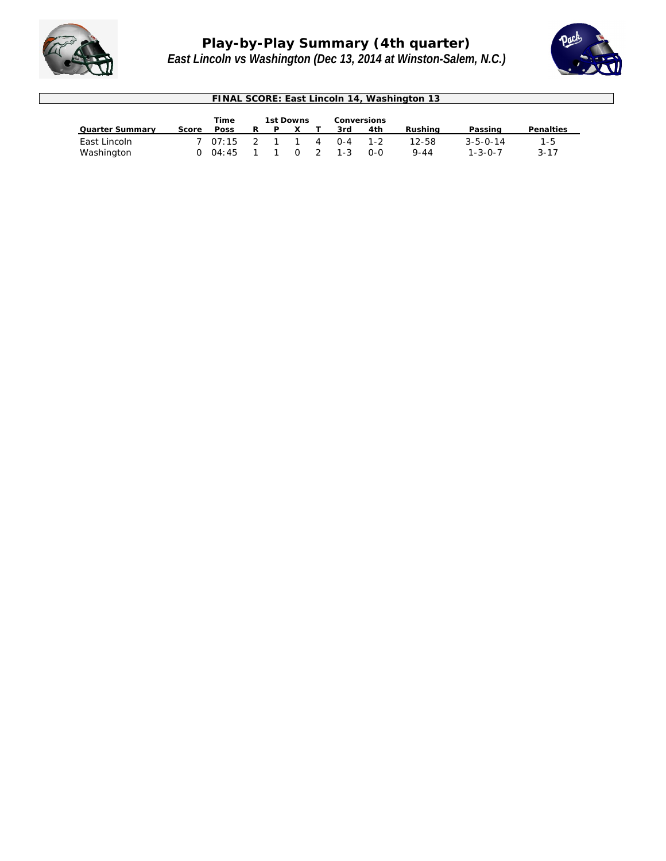

# *Play-by-Play Summary (4th quarter) East Lincoln vs Washington (Dec 13, 2014 at Winston-Salem, N.C.)*



| FINAL SCORE: East Lincoln 14, Washington 13 |          |              |    |           |        |   |                    |         |          |                  |           |  |
|---------------------------------------------|----------|--------------|----|-----------|--------|---|--------------------|---------|----------|------------------|-----------|--|
|                                             |          |              |    |           |        |   |                    |         |          |                  |           |  |
| Quarter Summary                             | Score    | Time<br>Poss | R. | 1st Downs |        |   | Conversions<br>3rd | 4th     | Rushing  | Passing          | Penalties |  |
| East Lincoln                                |          | 7.07:15      |    | 2 1 1     |        | 4 | $O - 4$            | $1 - 2$ | 12-58    | $3 - 5 - 0 - 14$ | $1 - 5$   |  |
| Washington                                  | $\Omega$ | 04:45        |    |           | $\cap$ |   | $1 - 3$            | റ-റ     | $9 - 44$ | $1 - 3 - 0 - 7$  | $3 - 17$  |  |